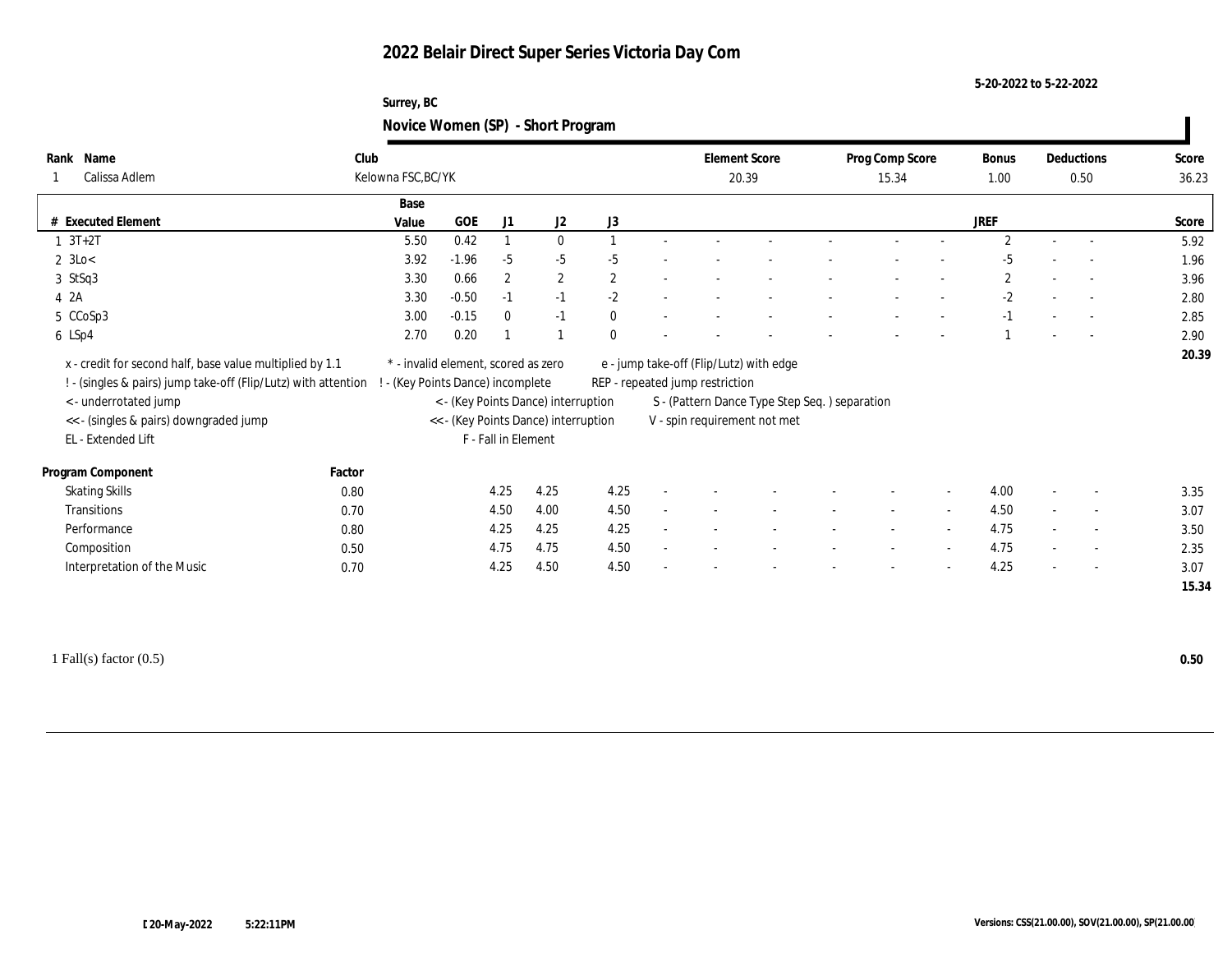### **5-20-2022 to 5-22-2022**

### **Surrey, BC Novice Women (SP) - Short Program**

| Name<br>Rank<br>Calissa Adlem                                                                                                                                                                                         | Club<br>Kelowna FSC, BC/YK |                                                                        |                     |                                                                             |              |        | <b>Element Score</b>            | 20.39                                                                                                                    | Prog Comp Score<br>15.34 |        | Bonus<br>1.00  | Deductions<br>0.50       | Score<br>36.23 |
|-----------------------------------------------------------------------------------------------------------------------------------------------------------------------------------------------------------------------|----------------------------|------------------------------------------------------------------------|---------------------|-----------------------------------------------------------------------------|--------------|--------|---------------------------------|--------------------------------------------------------------------------------------------------------------------------|--------------------------|--------|----------------|--------------------------|----------------|
|                                                                                                                                                                                                                       |                            | Base                                                                   |                     |                                                                             |              |        |                                 |                                                                                                                          |                          |        |                |                          |                |
| # Executed Element                                                                                                                                                                                                    |                            | <b>GOE</b><br>Value                                                    | J1                  | J <sub>2</sub>                                                              | J3           |        |                                 |                                                                                                                          |                          |        | <b>JREF</b>    |                          | Score          |
| $3T+2T$                                                                                                                                                                                                               |                            | 0.42<br>5.50                                                           |                     | $\bf{0}$                                                                    |              |        |                                 |                                                                                                                          |                          |        | $\mathfrak{D}$ | $\overline{\phantom{a}}$ | 5.92           |
| $2 \text{ } 3\text{Lo} <$                                                                                                                                                                                             |                            | $-1.96$<br>3.92                                                        | $-5$                | $-5$                                                                        | $-5$         |        |                                 |                                                                                                                          |                          |        | -5             | $\overline{\phantom{a}}$ | 1.96           |
| $3$ StSq3                                                                                                                                                                                                             |                            | 0.66<br>3.30                                                           | $\boldsymbol{2}$    | $\mathbf{2}$                                                                | $\mathbf{2}$ |        |                                 |                                                                                                                          |                          |        | $\mathbf{2}$   | $\overline{\phantom{a}}$ | 3.96           |
| 4 2A                                                                                                                                                                                                                  |                            | $-0.50$<br>3.30                                                        | $-1$                | $-1$                                                                        | $-2$         | $\sim$ |                                 |                                                                                                                          |                          |        | $-2$           | $\overline{\phantom{a}}$ | 2.80           |
| 5 CCoSp3                                                                                                                                                                                                              |                            | $-0.15$<br>3.00                                                        | $\mathbf{0}$        | $-1$                                                                        | $\mathbf{0}$ |        |                                 |                                                                                                                          |                          |        | $-1$           | $\sim$                   | 2.85           |
| 6 LSp4                                                                                                                                                                                                                |                            | 0.20<br>2.70                                                           |                     |                                                                             | $\Omega$     |        |                                 |                                                                                                                          |                          |        |                | $\sim$                   | 2.90           |
| x - credit for second half, base value multiplied by 1.1<br>! - (singles & pairs) jump take-off (Flip/Lutz) with attention !<br>< - underrotated jump<br><< - (singles & pairs) downgraded jump<br>EL - Extended Lift |                            | * - invalid element, scored as zero<br>- (Key Points Dance) incomplete | F - Fall in Element | < - (Key Points Dance) interruption<br><< - (Key Points Dance) interruption |              |        | REP - repeated jump restriction | e - jump take-off (Flip/Lutz) with edge<br>S - (Pattern Dance Type Step Seq.) separation<br>V - spin requirement not met |                          |        |                |                          |                |
| Program Component                                                                                                                                                                                                     | Factor                     |                                                                        |                     |                                                                             |              |        |                                 |                                                                                                                          |                          |        |                |                          |                |
| <b>Skating Skills</b>                                                                                                                                                                                                 | 0.80                       |                                                                        | 4.25                | 4.25                                                                        | 4.25         |        |                                 |                                                                                                                          |                          | $\sim$ | 4.00           | $\overline{\phantom{a}}$ | 3.35           |
| Transitions                                                                                                                                                                                                           | 0.70                       |                                                                        | 4.50                | 4.00                                                                        | 4.50         |        |                                 |                                                                                                                          |                          |        | 4.50           | $\overline{\phantom{a}}$ | 3.07           |
|                                                                                                                                                                                                                       | 0.80                       |                                                                        | 4.25                | 4.25                                                                        | 4.25         |        |                                 |                                                                                                                          |                          | $\sim$ | 4.75           | $\overline{\phantom{a}}$ | 3.50           |
| Performance                                                                                                                                                                                                           |                            |                                                                        | 4.75                | 4.75                                                                        | 4.50         |        |                                 |                                                                                                                          |                          |        | 4.75           | $\overline{\phantom{a}}$ | 2.35           |
| Composition                                                                                                                                                                                                           | 0.50                       |                                                                        |                     |                                                                             |              |        |                                 |                                                                                                                          |                          |        |                |                          |                |

1 Fall(s) factor (0.5) **0.50**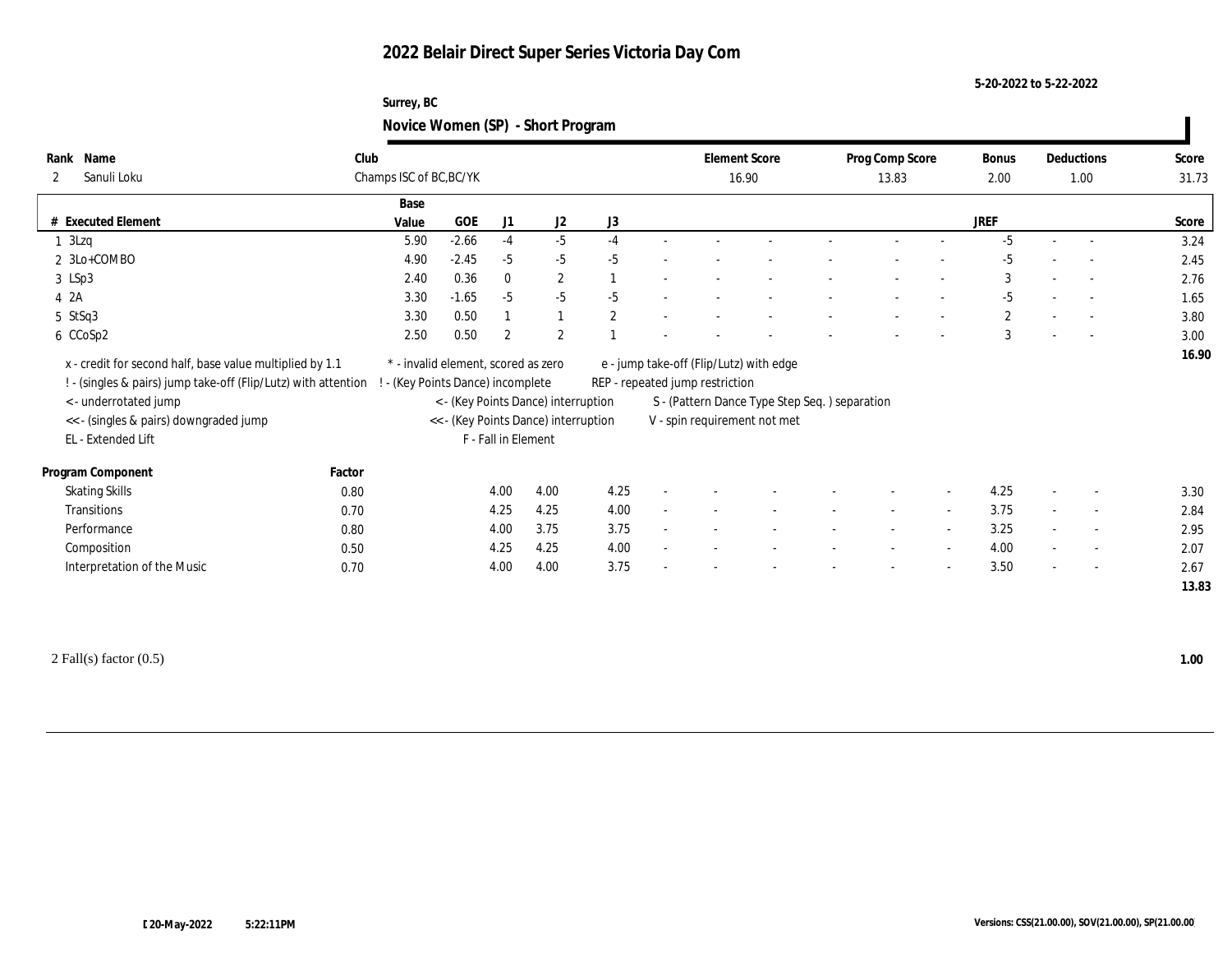### **5-20-2022 to 5-22-2022**

### **Surrey, BC Novice Women (SP) - Short Program**

| Name<br>Rank<br>Sanuli Loku<br>$\mathbf{2}$                                                                                                                                                                        | Club<br>Champs ISC of BC, BC/YK |                                                                                                                                                       |                     |                |              |                          | <b>Element Score</b><br>16.90   |                                                                                                                          | Prog Comp Score<br>13.83 |                          | Bonus<br>2.00 |        | Deductions<br>1.00       | Score<br>31.73 |
|--------------------------------------------------------------------------------------------------------------------------------------------------------------------------------------------------------------------|---------------------------------|-------------------------------------------------------------------------------------------------------------------------------------------------------|---------------------|----------------|--------------|--------------------------|---------------------------------|--------------------------------------------------------------------------------------------------------------------------|--------------------------|--------------------------|---------------|--------|--------------------------|----------------|
|                                                                                                                                                                                                                    | Base                            |                                                                                                                                                       |                     |                |              |                          |                                 |                                                                                                                          |                          |                          |               |        |                          |                |
| # Executed Element                                                                                                                                                                                                 | Value                           | GOE                                                                                                                                                   | J1                  | J <sub>2</sub> | J3           |                          |                                 |                                                                                                                          |                          |                          | <b>JREF</b>   |        |                          | Score          |
| $1 \,$ 3Lzq                                                                                                                                                                                                        | 5.90                            | $-2.66$                                                                                                                                               | $-4$                | $-5$           | $-4$         |                          |                                 |                                                                                                                          |                          |                          | $-5$          |        |                          | 3.24           |
| 2 3Lo+COMBO                                                                                                                                                                                                        | 4.90                            | $-2.45$                                                                                                                                               | $-5$                | $-5$           | $-5$         |                          |                                 |                                                                                                                          |                          |                          | $-5$          |        | $\sim$                   | 2.45           |
| 3 LSp3                                                                                                                                                                                                             | 2.40                            | 0.36                                                                                                                                                  | $\mathbf{0}$        | $\mathbf{2}$   |              | $\overline{\phantom{a}}$ |                                 |                                                                                                                          |                          |                          | 3             | $\sim$ | $\sim$                   | 2.76           |
| 4 2A                                                                                                                                                                                                               | 3.30                            | $-1.65$                                                                                                                                               | $-5$                | $-5$           | $-5$         |                          |                                 |                                                                                                                          |                          |                          | $-5$          |        | $\overline{\phantom{a}}$ | 1.65           |
| 5 StSq3                                                                                                                                                                                                            | 3.30                            | 0.50                                                                                                                                                  | $\overline{1}$      | 1              | $\mathbf{2}$ |                          |                                 |                                                                                                                          |                          |                          | $\mathbf{2}$  |        | $\sim$                   | 3.80           |
| 6 CCoSp2                                                                                                                                                                                                           | 2.50                            | 0.50                                                                                                                                                  | $\mathbf{2}$        | $\mathbf{2}$   |              |                          |                                 |                                                                                                                          |                          |                          | 3             |        | $\overline{\phantom{a}}$ | 3.00           |
| x - credit for second half, base value multiplied by 1.1<br>! - (singles & pairs) jump take-off (Flip/Lutz) with attention<br><- underrotated jump<br><< - (singles & pairs) downgraded jump<br>EL - Extended Lift |                                 | * - invalid element, scored as zero<br>- (Key Points Dance) incomplete<br>< - (Key Points Dance) interruption<br><< - (Key Points Dance) interruption | F - Fall in Element |                |              |                          | REP - repeated jump restriction | e - jump take-off (Flip/Lutz) with edge<br>S - (Pattern Dance Type Step Seq.) separation<br>V - spin requirement not met |                          |                          |               |        |                          |                |
|                                                                                                                                                                                                                    |                                 |                                                                                                                                                       |                     |                |              |                          |                                 |                                                                                                                          |                          |                          |               |        |                          |                |
| Program Component                                                                                                                                                                                                  | Factor                          |                                                                                                                                                       |                     |                |              |                          |                                 |                                                                                                                          |                          |                          |               |        |                          |                |
| <b>Skating Skills</b>                                                                                                                                                                                              | 0.80                            |                                                                                                                                                       | 4.00                | 4.00           | 4.25         | $\overline{\phantom{a}}$ |                                 |                                                                                                                          |                          | $\overline{\phantom{a}}$ | 4.25          |        | $\overline{\phantom{a}}$ | 3.30           |
| Transitions                                                                                                                                                                                                        | 0.70                            |                                                                                                                                                       | 4.25                | 4.25           | 4.00         | $\sim$                   |                                 |                                                                                                                          | $\sim$                   | $\sim$                   | 3.75          |        | $\sim$                   | 2.84           |
| Performance                                                                                                                                                                                                        | 0.80                            |                                                                                                                                                       | 4.00                | 3.75           | 3.75         | $\overline{\phantom{a}}$ |                                 |                                                                                                                          | $\sim$                   | $\sim$                   | 3.25          | $\sim$ | $\overline{\phantom{a}}$ | 2.95           |
| Composition                                                                                                                                                                                                        | 0.50                            |                                                                                                                                                       | 4.25                | 4.25           | 4.00         | $\sim$                   |                                 |                                                                                                                          | $\sim$                   | $\sim$                   | 4.00          |        | $\sim$                   | 2.07           |
| Interpretation of the Music                                                                                                                                                                                        | 0.70                            |                                                                                                                                                       | 4.00                | 4.00           | 3.75         | $\sim$                   |                                 |                                                                                                                          | $\overline{\phantom{a}}$ | $\sim$                   | 3.50          | $\sim$ | $\overline{\phantom{a}}$ | 2.67           |

2 Fall(s) factor (0.5) **1.00**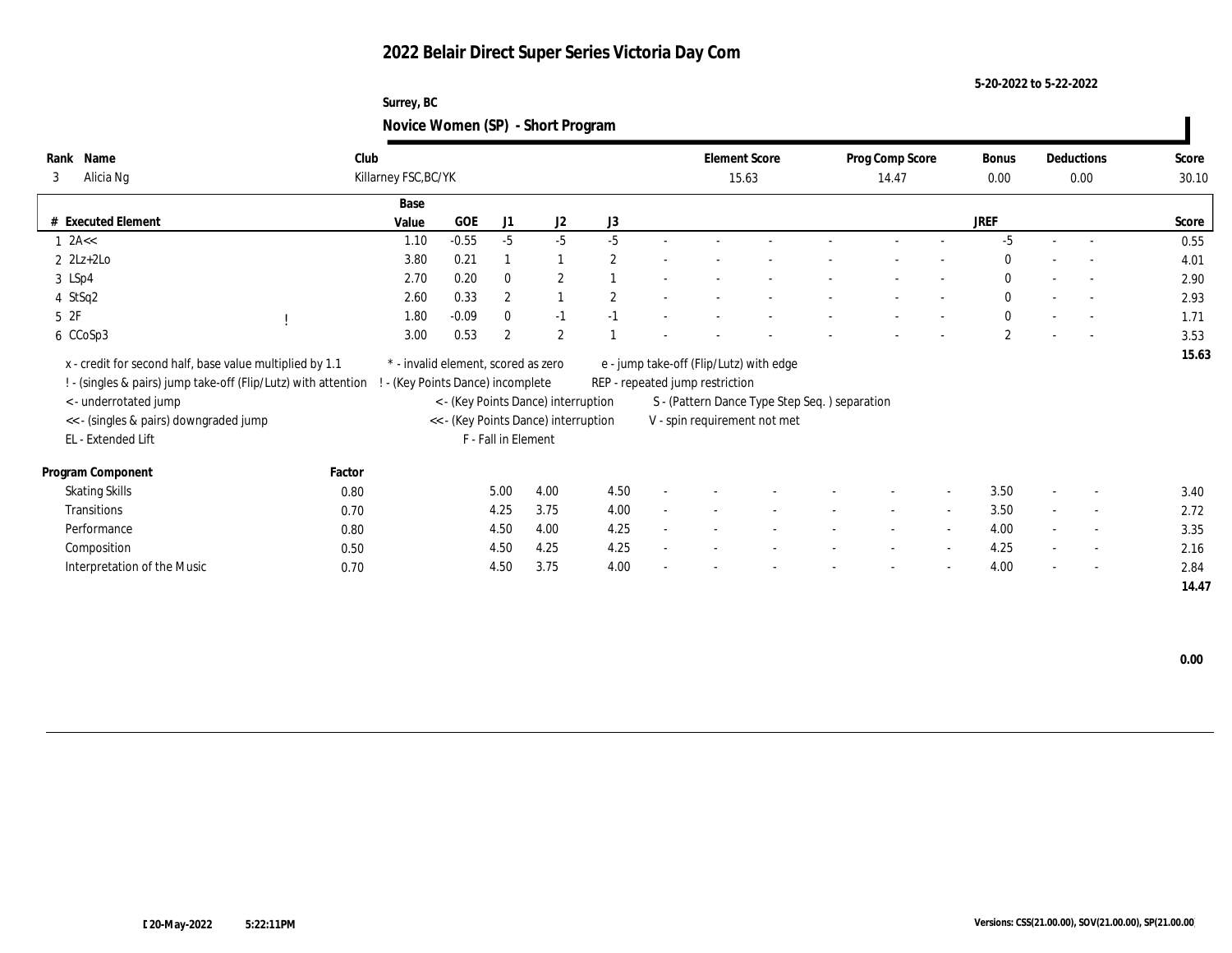### **5-20-2022 to 5-22-2022**

### **Surrey, BC Novice Women (SP) - Short Program**

| Rank<br>Name<br>Alicia Ng<br>3                                                                                             | Club<br>Killarney FSC, BC/YK                                           |         |                     |                                      |      |        | <b>Element Score</b><br>15.63                                              |                                               | Prog Comp Score<br>14.47 |                          | Bonus<br>0.00  |        | Deductions<br>0.00       | Score<br>30.10 |
|----------------------------------------------------------------------------------------------------------------------------|------------------------------------------------------------------------|---------|---------------------|--------------------------------------|------|--------|----------------------------------------------------------------------------|-----------------------------------------------|--------------------------|--------------------------|----------------|--------|--------------------------|----------------|
|                                                                                                                            |                                                                        |         |                     |                                      |      |        |                                                                            |                                               |                          |                          |                |        |                          |                |
|                                                                                                                            | Base                                                                   |         |                     |                                      |      |        |                                                                            |                                               |                          |                          |                |        |                          |                |
| # Executed Element                                                                                                         | Value                                                                  | GOE     | J1                  | J2                                   | J3   |        |                                                                            |                                               |                          |                          | <b>JREF</b>    |        |                          | Score          |
| $1 \text{ } 2A <<$                                                                                                         | 1.10                                                                   | $-0.55$ | $-5$                | $-5$                                 | $-5$ |        |                                                                            |                                               |                          |                          | $-5$           |        | $\overline{\phantom{a}}$ | 0.55           |
| $2 \text{ } 2\text{Lz}+2\text{Lo}$                                                                                         | 3.80                                                                   | 0.21    |                     |                                      | 2    |        |                                                                            |                                               |                          |                          | $\mathbf{0}$   |        | $\sim$                   | 4.01           |
| 3 LSp4                                                                                                                     | 2.70                                                                   | 0.20    | $\mathbf{0}$        | $\mathbf{2}$                         |      |        |                                                                            |                                               |                          |                          | $\mathbf{0}$   |        | $\overline{\phantom{a}}$ | 2.90           |
| 4 StSq2                                                                                                                    | 2.60                                                                   | 0.33    | $\overline{2}$      |                                      | 2    |        |                                                                            |                                               |                          |                          | $\mathbf{0}$   |        | $\overline{\phantom{a}}$ | 2.93           |
| 5 2F                                                                                                                       | 1.80                                                                   | $-0.09$ | $\mathbf{0}$        | $-1$                                 | $-1$ |        |                                                                            |                                               |                          |                          | $\mathbf{0}$   |        | $\overline{\phantom{a}}$ | 1.71           |
| 6 CCoSp3                                                                                                                   | 3.00                                                                   | 0.53    | $\mathbf{2}$        | $\mathbf{2}$                         |      |        |                                                                            |                                               |                          |                          | $\overline{2}$ |        | $\overline{\phantom{a}}$ | 3.53           |
| x - credit for second half, base value multiplied by 1.1<br>! - (singles & pairs) jump take-off (Flip/Lutz) with attention | * - invalid element, scored as zero<br>- (Key Points Dance) incomplete |         |                     |                                      |      |        | e - jump take-off (Flip/Lutz) with edge<br>REP - repeated jump restriction |                                               |                          |                          |                |        |                          | 15.63          |
| < - underrotated jump                                                                                                      |                                                                        |         |                     | < - (Key Points Dance) interruption  |      |        |                                                                            | S - (Pattern Dance Type Step Seq.) separation |                          |                          |                |        |                          |                |
| << - (singles & pairs) downgraded jump                                                                                     |                                                                        |         |                     | << - (Key Points Dance) interruption |      |        |                                                                            | V - spin requirement not met                  |                          |                          |                |        |                          |                |
| EL - Extended Lift                                                                                                         |                                                                        |         | F - Fall in Element |                                      |      |        |                                                                            |                                               |                          |                          |                |        |                          |                |
| Factor<br>Program Component                                                                                                |                                                                        |         |                     |                                      |      |        |                                                                            |                                               |                          |                          |                |        |                          |                |
| <b>Skating Skills</b><br>0.80                                                                                              |                                                                        |         | 5.00                | 4.00                                 | 4.50 |        |                                                                            |                                               |                          | $\sim$                   | 3.50           |        | $\overline{\phantom{a}}$ | 3.40           |
| Transitions<br>0.70                                                                                                        |                                                                        |         | 4.25                | 3.75                                 | 4.00 | $\sim$ |                                                                            |                                               | $\sim$                   | $\sim$                   | 3.50           | $\sim$ | $\sim$                   | 2.72           |
| Performance<br>0.80                                                                                                        |                                                                        |         | 4.50                | 4.00                                 | 4.25 | ٠      |                                                                            |                                               | $\overline{\phantom{a}}$ | $\sim$                   | 4.00           | $\sim$ | $\overline{\phantom{a}}$ | 3.35           |
| Composition<br>0.50                                                                                                        |                                                                        |         | 4.50                | 4.25                                 | 4.25 |        |                                                                            |                                               |                          | $\sim$                   | 4.25           | $\sim$ | $\sim$                   | 2.16           |
| Interpretation of the Music<br>0.70                                                                                        |                                                                        |         | 4.50                | 3.75                                 | 4.00 |        |                                                                            |                                               |                          | $\overline{\phantom{0}}$ | 4.00           | $\sim$ | $\overline{\phantom{a}}$ | 2.84           |
|                                                                                                                            |                                                                        |         |                     |                                      |      |        |                                                                            |                                               |                          |                          |                |        |                          | 14.47          |

ı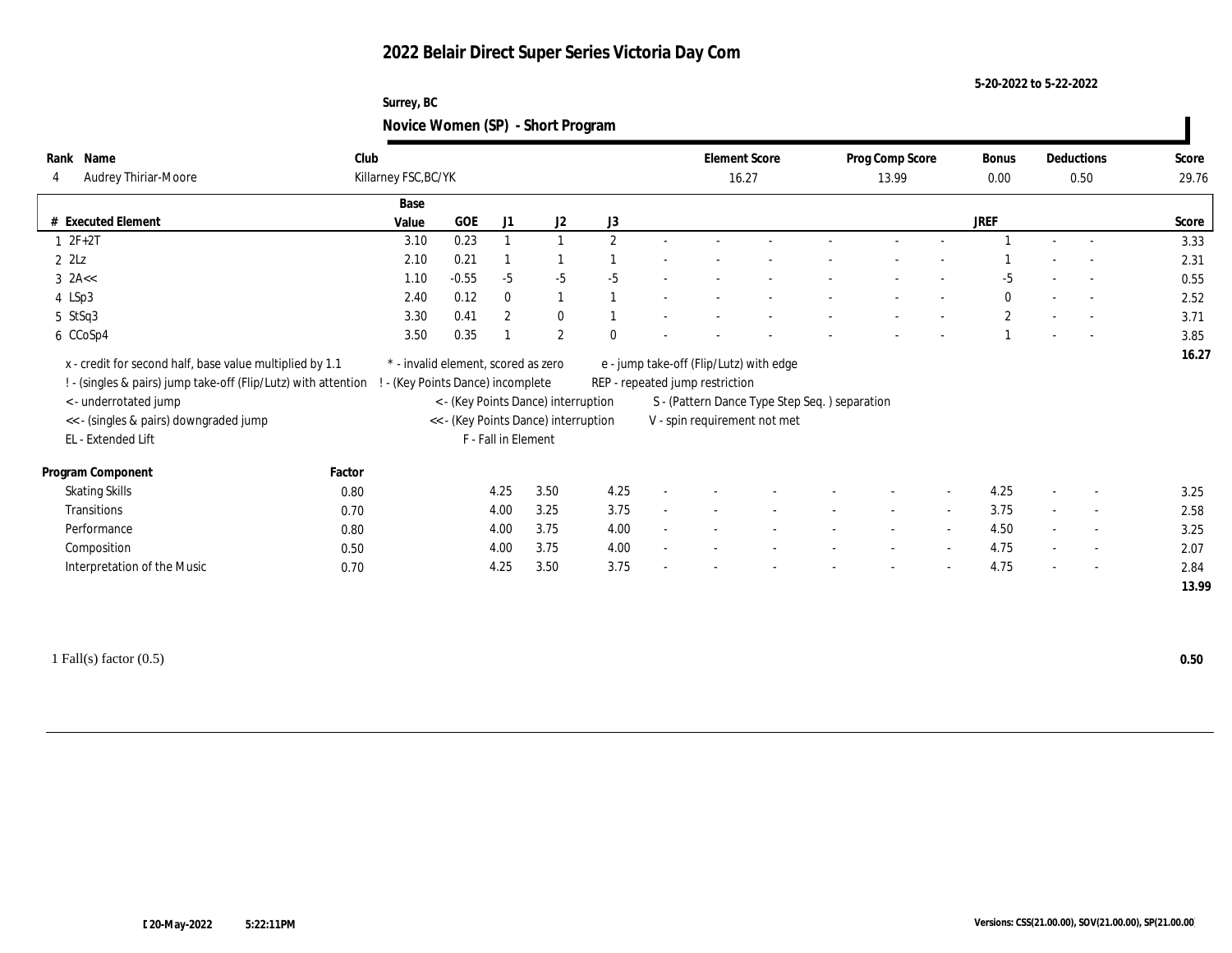### **5-20-2022 to 5-22-2022**

### **Surrey, BC Novice Women (SP) - Short Program**

| Name<br>Rank<br>Audrey Thiriar-Moore                                                 | Club<br>Killarney FSC, BC/YK |                                 |                     |                                                                             |          | <b>Element Score</b><br>16.27   |                                                                               | Prog Comp Score<br>13.99 |                          | Bonus<br>0.00 | Deductions<br>0.50       | Score<br>29.76 |
|--------------------------------------------------------------------------------------|------------------------------|---------------------------------|---------------------|-----------------------------------------------------------------------------|----------|---------------------------------|-------------------------------------------------------------------------------|--------------------------|--------------------------|---------------|--------------------------|----------------|
|                                                                                      |                              | Base                            |                     |                                                                             |          |                                 |                                                                               |                          |                          |               |                          |                |
| # Executed Element                                                                   |                              | GOE<br>Value                    | J1                  | J <sub>2</sub>                                                              | J3       |                                 |                                                                               |                          |                          | <b>JREF</b>   |                          | Score          |
| $12F+2T$                                                                             |                              | 0.23<br>3.10                    | $\mathbf{1}$        |                                                                             | 2        |                                 |                                                                               |                          |                          |               | $\overline{\phantom{a}}$ | 3.33           |
| $2$ $2$ Lz                                                                           |                              | 0.21<br>2.10                    |                     |                                                                             |          |                                 |                                                                               |                          |                          |               | $\overline{\phantom{a}}$ | 2.31           |
| $3$ 2A $\lt$                                                                         |                              | $-0.55$<br>1.10                 | $-5$                | $-5$                                                                        | $-5$     |                                 |                                                                               |                          |                          | -5            | $\overline{\phantom{a}}$ | 0.55           |
| 4 LSp3                                                                               |                              | 2.40<br>0.12                    | $\mathbf{0}$        | $\mathbf{1}$                                                                |          |                                 |                                                                               |                          |                          | $\bf{0}$      | $\overline{\phantom{a}}$ | 2.52           |
| 5 StSq3                                                                              |                              | 0.41<br>3.30                    | $\mathbf{2}$        | $\bf{0}$                                                                    |          |                                 |                                                                               |                          |                          | $\mathbf{2}$  | $\overline{\phantom{a}}$ | 3.71           |
| 6 CCoSp4                                                                             |                              | 0.35<br>3.50                    |                     | $\mathbf{2}$                                                                | $\Omega$ |                                 |                                                                               |                          |                          |               | $\overline{\phantom{a}}$ | 3.85           |
| ! - (singles & pairs) jump take-off (Flip/Lutz) with attention !                     |                              |                                 |                     |                                                                             |          |                                 |                                                                               |                          |                          |               |                          |                |
| <- underrotated jump<br><< - (singles & pairs) downgraded jump<br>EL - Extended Lift |                              | - (Key Points Dance) incomplete | F - Fall in Element | < - (Key Points Dance) interruption<br><< - (Key Points Dance) interruption |          | REP - repeated jump restriction | S - (Pattern Dance Type Step Seq.) separation<br>V - spin requirement not met |                          |                          |               |                          |                |
| Program Component                                                                    | Factor                       |                                 |                     |                                                                             |          |                                 |                                                                               |                          |                          |               |                          |                |
| <b>Skating Skills</b>                                                                | 0.80                         |                                 | 4.25                | 3.50                                                                        | 4.25     |                                 |                                                                               |                          |                          | 4.25          | $\overline{\phantom{a}}$ | 3.25           |
| Transitions                                                                          | 0.70                         |                                 | 4.00                | 3.25                                                                        | 3.75     |                                 |                                                                               |                          |                          | 3.75          | $\overline{\phantom{a}}$ | 2.58           |
| Performance                                                                          | 0.80                         |                                 | 4.00                | 3.75                                                                        | 4.00     |                                 |                                                                               |                          | $\sim$                   | 4.50          | $\overline{\phantom{a}}$ | 3.25           |
| Composition                                                                          | 0.50                         |                                 | 4.00                | 3.75                                                                        | 4.00     |                                 |                                                                               |                          | $\overline{\phantom{a}}$ | 4.75          | $\overline{\phantom{a}}$ | 2.07           |
| Interpretation of the Music                                                          | 0.70                         |                                 | 4.25                | 3.50                                                                        | 3.75     |                                 |                                                                               |                          |                          | 4.75          | $\overline{\phantom{a}}$ | 2.84           |

1 Fall(s) factor (0.5) **0.50**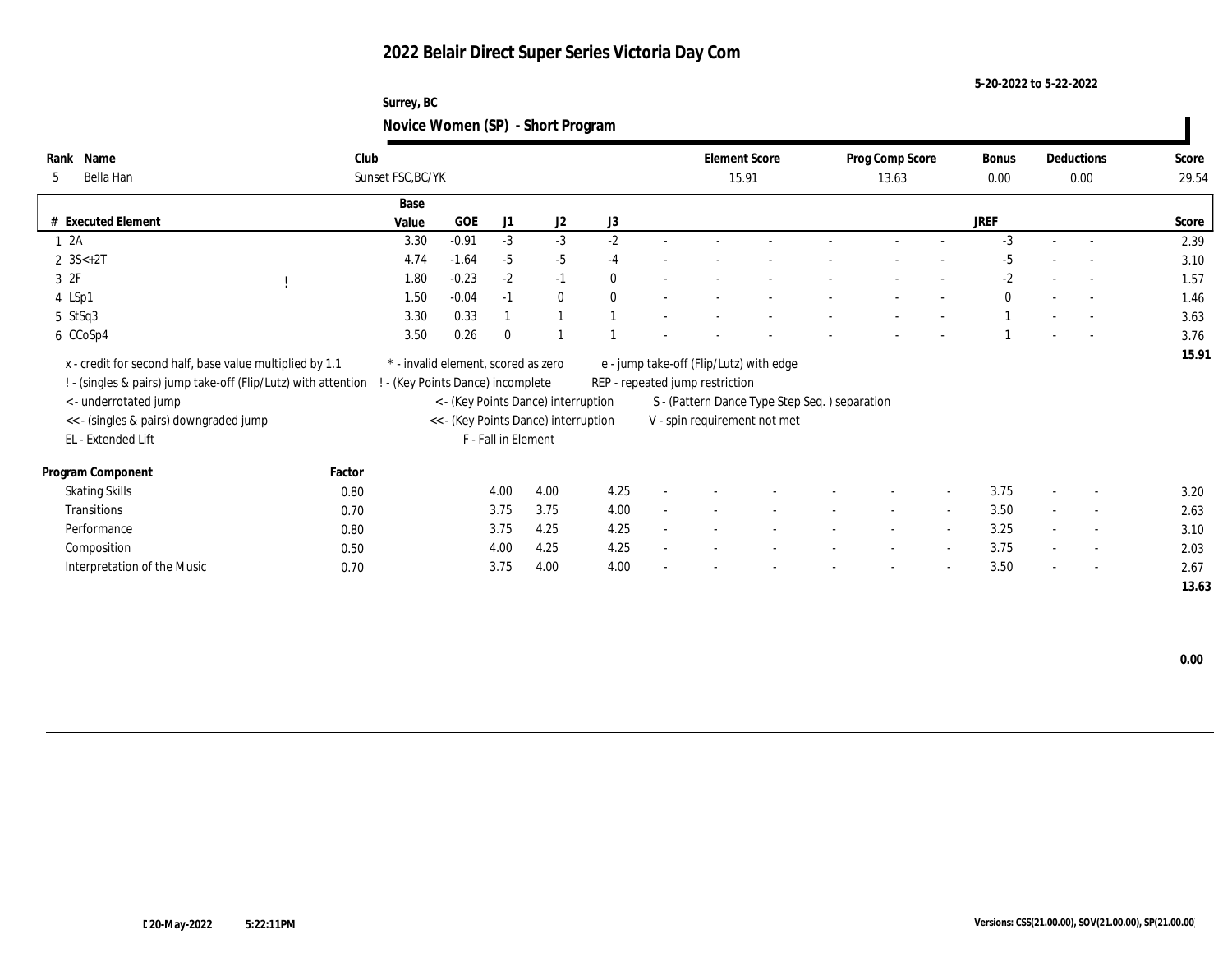### **5-20-2022 to 5-22-2022**

### **Surrey, BC Novice Women (SP) - Short Program**

| Name<br>Rank                                                   | Club                                |         |                     |                                      |          |        |                                 | <b>Element Score</b>                          |                          |                          | Bonus        |        | Deductions               | Score |
|----------------------------------------------------------------|-------------------------------------|---------|---------------------|--------------------------------------|----------|--------|---------------------------------|-----------------------------------------------|--------------------------|--------------------------|--------------|--------|--------------------------|-------|
|                                                                |                                     |         |                     |                                      |          |        |                                 |                                               | Prog Comp Score          |                          |              |        |                          |       |
| Bella Han<br>5                                                 | Sunset FSC, BC/YK                   |         |                     |                                      |          |        | 15.91                           |                                               | 13.63                    |                          | $0.00\,$     |        | 0.00                     | 29.54 |
|                                                                | Base                                |         |                     |                                      |          |        |                                 |                                               |                          |                          |              |        |                          |       |
| # Executed Element                                             | Value                               | GOE     | J1                  | J2                                   | J3       |        |                                 |                                               |                          |                          | <b>JREF</b>  |        |                          | Score |
| 1 2A                                                           | 3.30                                | $-0.91$ | $-3$                | $-3$                                 | $-2$     |        |                                 |                                               |                          |                          | $-3$         |        | $\overline{a}$           | 2.39  |
| 2 $3S<+2T$                                                     | 4.74                                | $-1.64$ | $-5$                | $-5$                                 | $-4$     |        |                                 |                                               |                          |                          | $-5$         |        | $\overline{\phantom{a}}$ | 3.10  |
| 3 2F                                                           | 1.80                                | $-0.23$ | $-2$                | $-1$                                 | $\theta$ |        |                                 |                                               |                          |                          | $-2$         |        | $\overline{\phantom{a}}$ | 1.57  |
| 4 LSp1                                                         | 1.50                                | $-0.04$ | $-1$                | $\bf{0}$                             | $\Omega$ |        |                                 |                                               |                          |                          | $\mathbf{0}$ |        | $\overline{a}$           | 1.46  |
| 5 StSq3                                                        | 3.30                                | 0.33    |                     |                                      |          |        |                                 |                                               |                          |                          |              |        | $\overline{\phantom{a}}$ | 3.63  |
| 6 CCoSp4                                                       | 3.50                                | 0.26    | $\bf{0}$            |                                      |          |        |                                 |                                               |                          |                          |              |        | $\overline{a}$           | 3.76  |
| x - credit for second half, base value multiplied by 1.1       | * - invalid element, scored as zero |         |                     |                                      |          |        |                                 | e - jump take-off (Flip/Lutz) with edge       |                          |                          |              |        |                          | 15.91 |
| ! - (singles & pairs) jump take-off (Flip/Lutz) with attention | (Key Points Dance) incomplete       |         |                     |                                      |          |        | REP - repeated jump restriction |                                               |                          |                          |              |        |                          |       |
| <- underrotated jump                                           |                                     |         |                     | < - (Key Points Dance) interruption  |          |        |                                 | S - (Pattern Dance Type Step Seq.) separation |                          |                          |              |        |                          |       |
| << - (singles & pairs) downgraded jump                         |                                     |         |                     | << - (Key Points Dance) interruption |          |        |                                 | V - spin requirement not met                  |                          |                          |              |        |                          |       |
| EL - Extended Lift                                             |                                     |         | F - Fall in Element |                                      |          |        |                                 |                                               |                          |                          |              |        |                          |       |
|                                                                |                                     |         |                     |                                      |          |        |                                 |                                               |                          |                          |              |        |                          |       |
| Program Component                                              | Factor                              |         |                     |                                      |          |        |                                 |                                               |                          |                          |              |        |                          |       |
| <b>Skating Skills</b>                                          | 0.80                                |         | 4.00                | 4.00                                 | 4.25     |        |                                 |                                               |                          | $\sim$                   | 3.75         |        | $\overline{\phantom{a}}$ | 3.20  |
| Transitions                                                    | 0.70                                |         | 3.75                | 3.75                                 | 4.00     | $\sim$ |                                 |                                               | $\overline{\phantom{a}}$ | $\overline{\phantom{a}}$ | 3.50         | $\sim$ | $\sim$                   | 2.63  |
| Performance                                                    | 0.80                                |         | 3.75                | 4.25                                 | 4.25     | $\sim$ |                                 |                                               | $\sim$                   | $\sim$                   | 3.25         | $\sim$ | $\sim$                   | 3.10  |
| Composition                                                    | 0.50                                |         | 4.00                | 4.25                                 | 4.25     |        |                                 |                                               |                          | $\sim$                   | 3.75         | $\sim$ | $\overline{\phantom{a}}$ | 2.03  |
| Interpretation of the Music                                    | 0.70                                |         | 3.75                | 4.00                                 | 4.00     |        |                                 |                                               |                          | $\overline{\phantom{a}}$ | 3.50         | $\sim$ | $\overline{\phantom{a}}$ | 2.67  |
|                                                                |                                     |         |                     |                                      |          |        |                                 |                                               |                          |                          |              |        |                          | 13.63 |

 **0.00**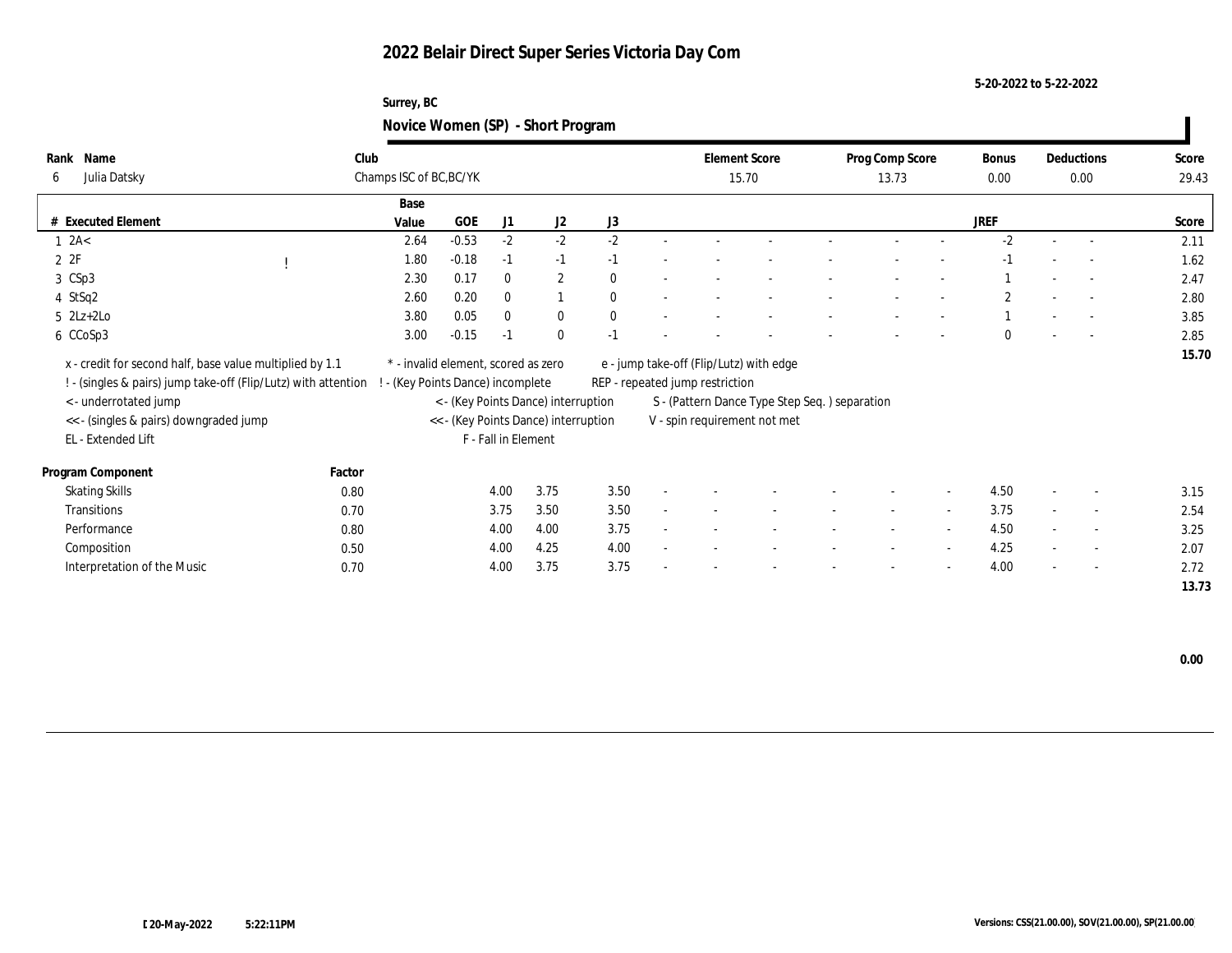### **Surrey, BC Novice Women (SP) - Short Program**

|                                                                |        |                                     |         |                     |                                      | $\tilde{\phantom{a}}$ |                                 |                                               |                 |                          |             |                          |       |
|----------------------------------------------------------------|--------|-------------------------------------|---------|---------------------|--------------------------------------|-----------------------|---------------------------------|-----------------------------------------------|-----------------|--------------------------|-------------|--------------------------|-------|
| Name<br>Rank                                                   | Club   |                                     |         |                     |                                      |                       |                                 | <b>Element Score</b>                          | Prog Comp Score |                          | Bonus       | Deductions               | Score |
| Julia Datsky<br>6                                              |        | Champs ISC of BC, BC/YK             |         |                     |                                      |                       |                                 | 15.70                                         | 13.73           |                          | $0.00\,$    | 0.00                     | 29.43 |
|                                                                |        | Base                                |         |                     |                                      |                       |                                 |                                               |                 |                          |             |                          |       |
| # Executed Element                                             |        | Value                               | GOE     | J1                  | J2                                   | J3                    |                                 |                                               |                 |                          | <b>JREF</b> |                          | Score |
| $1 \ \text{2A}$                                                |        | 2.64                                | $-0.53$ | $-2$                | $-2$                                 | $-2$                  |                                 |                                               |                 |                          | $-2$        |                          | 2.11  |
| 2ZF                                                            |        | 1.80                                | $-0.18$ | $-1$                | $-1$                                 | $-1$                  |                                 |                                               |                 |                          | $-1$        |                          | 1.62  |
| 3 CSp3                                                         |        | 2.30                                | 0.17    | $\mathbf{0}$        | $\mathbf{2}$                         | $\theta$              |                                 |                                               |                 |                          |             |                          | 2.47  |
| 4 StSq2                                                        |        | 2.60                                | 0.20    | $\mathbf{0}$        | $\mathbf{1}$                         | $\theta$              |                                 |                                               |                 |                          | 2           |                          | 2.80  |
| $5 \text{ } 2\text{L}z + 2\text{L}o$                           |        | 3.80                                | 0.05    | $\mathbf{0}$        | $\bf{0}$                             | $\theta$              |                                 |                                               |                 |                          |             |                          | 3.85  |
| 6 CCoSp3                                                       |        | 3.00                                | $-0.15$ | $-1$                | $\mathbf{0}$                         | $-1$                  |                                 |                                               |                 |                          | $\Omega$    | $\overline{a}$           | 2.85  |
| x - credit for second half, base value multiplied by 1.1       |        | * - invalid element, scored as zero |         |                     |                                      |                       |                                 | e - jump take-off (Flip/Lutz) with edge       |                 |                          |             |                          | 15.70 |
|                                                                |        |                                     |         |                     |                                      |                       | REP - repeated jump restriction |                                               |                 |                          |             |                          |       |
| ! - (singles & pairs) jump take-off (Flip/Lutz) with attention |        | - (Key Points Dance) incomplete     |         |                     |                                      |                       |                                 |                                               |                 |                          |             |                          |       |
| < - underrotated jump                                          |        |                                     |         |                     | < - (Key Points Dance) interruption  |                       |                                 | S - (Pattern Dance Type Step Seq.) separation |                 |                          |             |                          |       |
| << - (singles & pairs) downgraded jump                         |        |                                     |         |                     | << - (Key Points Dance) interruption |                       |                                 | V - spin requirement not met                  |                 |                          |             |                          |       |
| EL - Extended Lift                                             |        |                                     |         | F - Fall in Element |                                      |                       |                                 |                                               |                 |                          |             |                          |       |
| Program Component                                              | Factor |                                     |         |                     |                                      |                       |                                 |                                               |                 |                          |             |                          |       |
| <b>Skating Skills</b>                                          | 0.80   |                                     |         | 4.00                | 3.75                                 | 3.50                  |                                 |                                               |                 |                          | 4.50        | $\overline{\phantom{a}}$ | 3.15  |
| Transitions                                                    | 0.70   |                                     |         | 3.75                | 3.50                                 | 3.50                  |                                 |                                               |                 | $\overline{\phantom{a}}$ | 3.75        | $\overline{\phantom{a}}$ | 2.54  |
| Performance                                                    | 0.80   |                                     |         | 4.00                | 4.00                                 | 3.75                  |                                 |                                               |                 | $\sim$                   | 4.50        | $\overline{\phantom{a}}$ | 3.25  |
| Composition                                                    | 0.50   |                                     |         | 4.00                | 4.25                                 | 4.00                  |                                 |                                               |                 | $\overline{\phantom{a}}$ | 4.25        | $\overline{\phantom{a}}$ | 2.07  |
| Interpretation of the Music                                    | 0.70   |                                     |         | 4.00                | 3.75                                 | 3.75                  |                                 |                                               |                 |                          | 4.00        | $\overline{\phantom{a}}$ | 2.72  |
|                                                                |        |                                     |         |                     |                                      |                       |                                 |                                               |                 |                          |             |                          | 13.73 |

 $\mathbf{I}$ 

**5-20-2022 to 5-22-2022**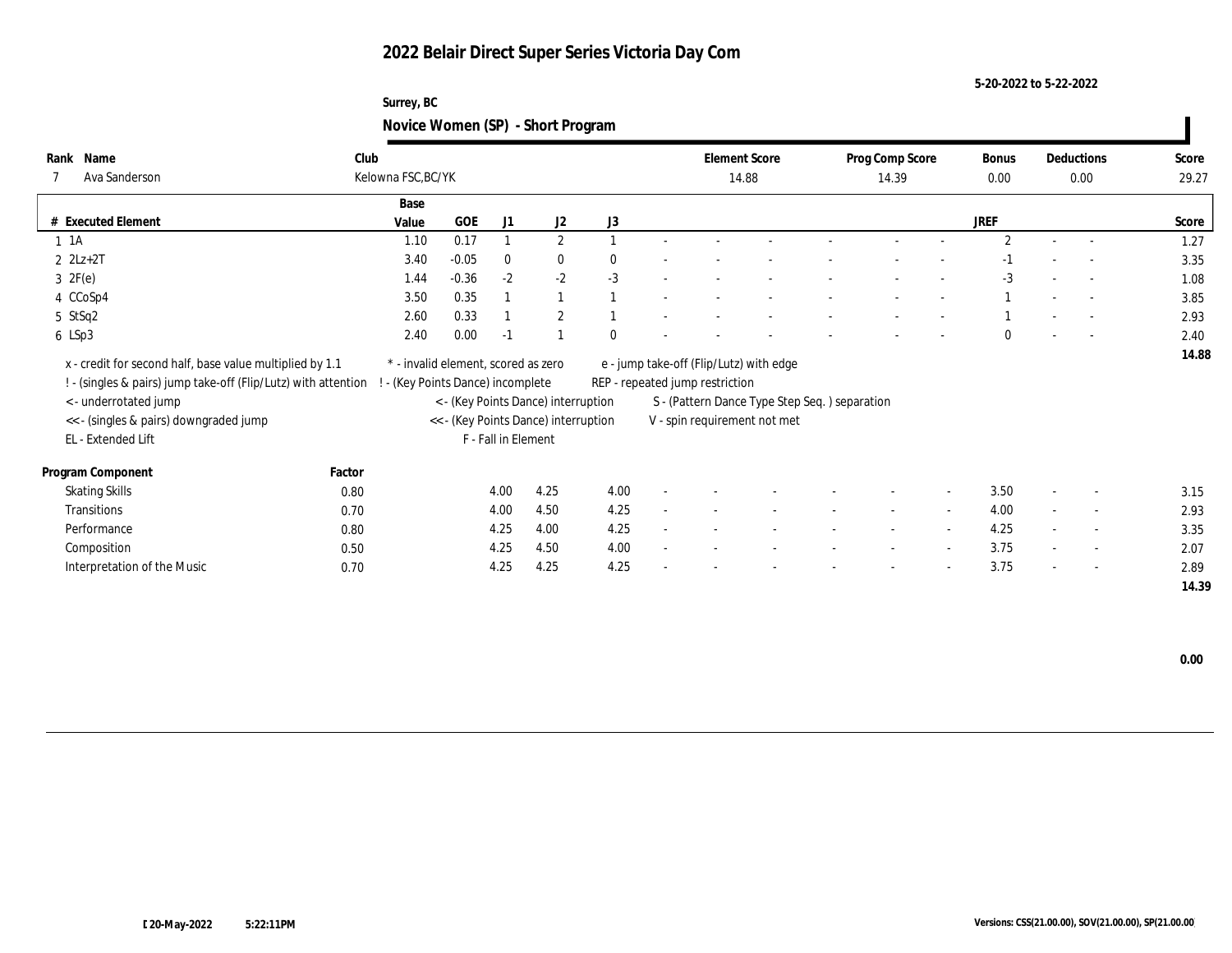### **5-20-2022 to 5-22-2022**

### **Surrey, BC Novice Women (SP) - Short Program**

| Name<br>Rank<br>Ava Sanderson<br>7                             | Club<br>Kelowna FSC, BC/YK |                                      |                     |                                     |          | <b>Element Score</b>            | 14.88                                         | Prog Comp Score<br>14.39 |                          | Bonus<br>0.00  |        | Deductions<br>0.00       | Score<br>29.27 |
|----------------------------------------------------------------|----------------------------|--------------------------------------|---------------------|-------------------------------------|----------|---------------------------------|-----------------------------------------------|--------------------------|--------------------------|----------------|--------|--------------------------|----------------|
|                                                                | Base                       |                                      |                     |                                     |          |                                 |                                               |                          |                          |                |        |                          |                |
| # Executed Element                                             | Value                      | GOE                                  | J1                  | J2                                  | J3       |                                 |                                               |                          |                          | <b>JREF</b>    |        |                          | Score          |
| $1 \t1A$                                                       | 1.10                       | 0.17                                 |                     | $\mathbf{2}$                        |          |                                 |                                               |                          |                          | $\overline{2}$ |        | $\overline{a}$           | 1.27           |
| $2$ $2Lz+2T$                                                   | 3.40                       | $-0.05$                              | $\bf{0}$            | $\bf{0}$                            | $\theta$ |                                 |                                               |                          |                          | $-1$           |        | $\overline{a}$           | 3.35           |
| $3 \t2F(e)$                                                    | 1.44                       | $-0.36$                              | $-2$                | $-2$                                | $-3$     |                                 |                                               |                          |                          | $-3$           |        | $\overline{a}$           | 1.08           |
| 4 CCoSp4                                                       | 3.50                       | 0.35                                 |                     | $\mathbf{1}$                        |          |                                 |                                               |                          |                          |                |        | $\overline{a}$           | 3.85           |
| 5 StSq2                                                        | 2.60                       | 0.33                                 |                     | $\overline{2}$                      |          |                                 |                                               |                          |                          |                |        |                          | 2.93           |
| 6 LSp3                                                         | 2.40                       | 0.00                                 | $-1$                |                                     | $\theta$ |                                 |                                               |                          |                          | $\Omega$       |        | $\overline{\phantom{a}}$ | 2.40           |
| x - credit for second half, base value multiplied by 1.1       |                            | * - invalid element, scored as zero  |                     |                                     |          |                                 | e - jump take-off (Flip/Lutz) with edge       |                          |                          |                |        |                          | 14.88          |
| ! - (singles & pairs) jump take-off (Flip/Lutz) with attention |                            | (Key Points Dance) incomplete        |                     |                                     |          | REP - repeated jump restriction |                                               |                          |                          |                |        |                          |                |
| <- underrotated jump                                           |                            |                                      |                     | < - (Key Points Dance) interruption |          |                                 | S - (Pattern Dance Type Step Seq.) separation |                          |                          |                |        |                          |                |
| << - (singles & pairs) downgraded jump                         |                            | << - (Key Points Dance) interruption |                     |                                     |          |                                 | V - spin requirement not met                  |                          |                          |                |        |                          |                |
| EL - Extended Lift                                             |                            |                                      | F - Fall in Element |                                     |          |                                 |                                               |                          |                          |                |        |                          |                |
| Program Component                                              | Factor                     |                                      |                     |                                     |          |                                 |                                               |                          |                          |                |        |                          |                |
| <b>Skating Skills</b>                                          | 0.80                       |                                      | 4.00                | 4.25                                | 4.00     |                                 |                                               |                          | $\overline{\phantom{a}}$ | 3.50           |        | $\sim$                   | 3.15           |
| Transitions                                                    | 0.70                       |                                      | 4.00                | 4.50                                | 4.25     |                                 |                                               | $\sim$                   | $\sim$                   | 4.00           |        | $\sim$                   | 2.93           |
| Performance                                                    | 0.80                       |                                      | 4.25                | 4.00                                | 4.25     |                                 |                                               | $\sim$                   | $\sim$                   | 4.25           | $\sim$ | $\sim$                   | 3.35           |
| Composition                                                    | 0.50                       |                                      | 4.25                | 4.50                                | 4.00     |                                 |                                               |                          | $\sim$                   | 3.75           | $\sim$ | $\overline{\phantom{a}}$ | 2.07           |
| Interpretation of the Music                                    | 0.70                       |                                      | 4.25                | 4.25                                | 4.25     |                                 |                                               |                          | $\sim$                   | 3.75           | $\sim$ | $\overline{\phantom{a}}$ | 2.89           |
|                                                                |                            |                                      |                     |                                     |          |                                 |                                               |                          |                          |                |        |                          | 14.39          |

 **0.00**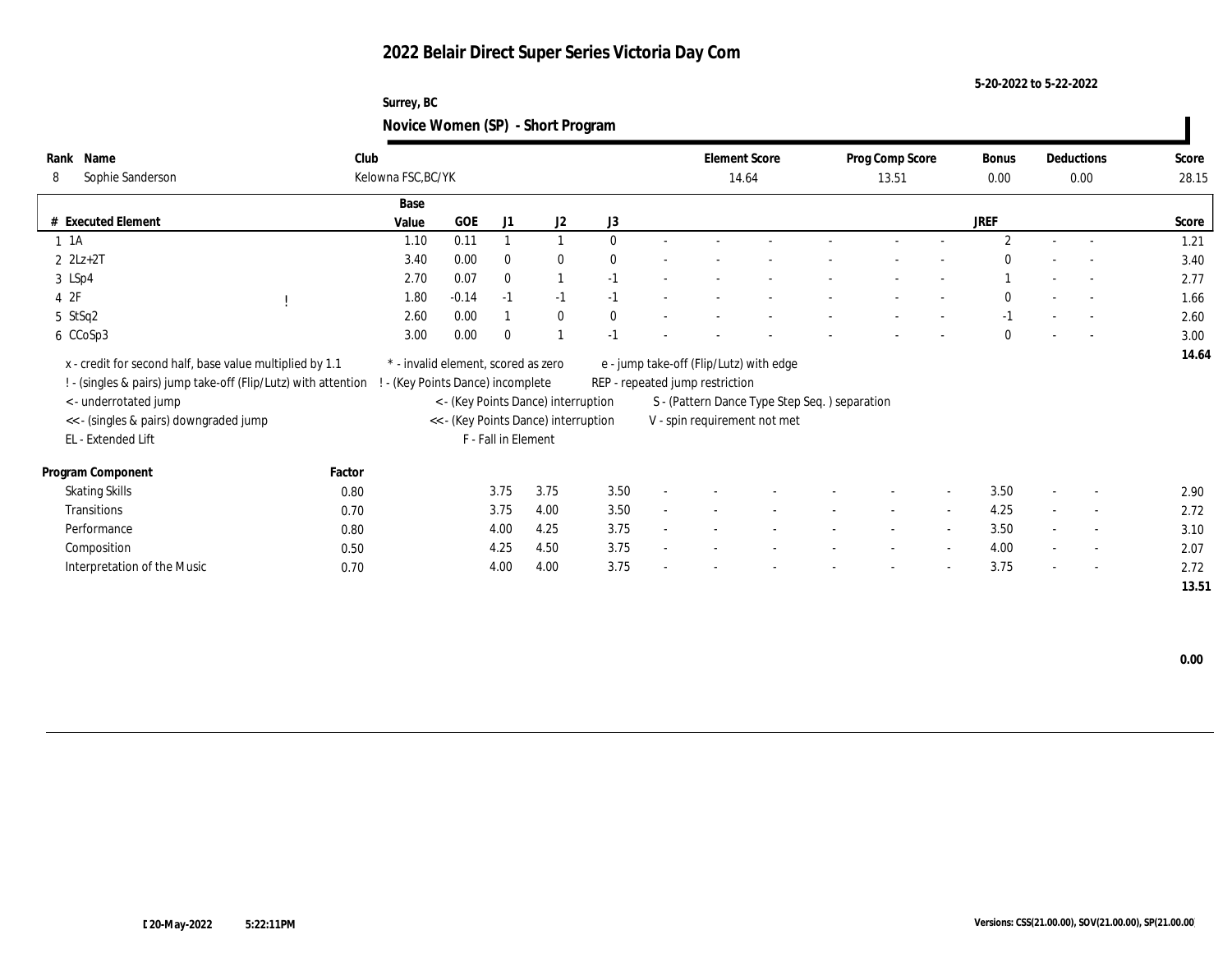### **5-20-2022 to 5-22-2022**

### **Surrey, BC Novice Women (SP) - Short Program**

| Rank<br>Name                                                   | Club                                |                               |                     |                                      |          |        | <b>Element Score</b>            |                                               | Prog Comp Score          |                          | Bonus         |        | Deductions               | Score |
|----------------------------------------------------------------|-------------------------------------|-------------------------------|---------------------|--------------------------------------|----------|--------|---------------------------------|-----------------------------------------------|--------------------------|--------------------------|---------------|--------|--------------------------|-------|
| Sophie Sanderson<br>8                                          | Kelowna FSC, BC/YK                  |                               |                     |                                      |          |        | 14.64                           |                                               | 13.51                    |                          | $0.00\,$      |        | 0.00                     | 28.15 |
|                                                                | Base                                |                               |                     |                                      |          |        |                                 |                                               |                          |                          |               |        |                          |       |
| # Executed Element                                             | Value                               | GOE                           | J1                  | J2                                   | J3       |        |                                 |                                               |                          |                          | <b>JREF</b>   |        |                          | Score |
| $1 \t1A$                                                       | 1.10                                | 0.11                          |                     | $\mathbf{1}$                         | $\theta$ |        |                                 |                                               |                          |                          | $\mathcal{P}$ |        | $\sim$                   | 1.21  |
| $2 \text{ } 2Lz + 2T$                                          | 3.40                                | $0.00\,$                      | $\mathbf{0}$        | $\mathbf{0}$                         | $\Omega$ |        |                                 |                                               |                          |                          | $\Omega$      |        | $\sim$                   | 3.40  |
| 3 LSp4                                                         | 2.70                                | 0.07                          | $\mathbf{0}$        | $\mathbf{1}$                         | $-1$     |        |                                 |                                               |                          |                          |               |        | $\sim$                   | 2.77  |
| 4 2F                                                           | 1.80                                | $-0.14$                       | $-1$                | $-1$                                 | $-1$     |        |                                 |                                               |                          |                          | $\mathbf{0}$  |        | $\overline{a}$           | 1.66  |
| 5 StSq2                                                        | 2.60                                | 0.00                          |                     | $\bf{0}$                             | $\theta$ |        |                                 |                                               |                          |                          | $-1$          |        |                          | 2.60  |
| 6 CCoSp3                                                       | 3.00                                | 0.00                          | $\theta$            |                                      | $-1$     |        |                                 |                                               |                          |                          | $\Omega$      |        | $\overline{a}$           | 3.00  |
| x - credit for second half, base value multiplied by 1.1       | * - invalid element, scored as zero |                               |                     |                                      |          |        |                                 | e - jump take-off (Flip/Lutz) with edge       |                          |                          |               |        |                          | 14.64 |
| ! - (singles & pairs) jump take-off (Flip/Lutz) with attention |                                     | (Key Points Dance) incomplete |                     |                                      |          |        | REP - repeated jump restriction |                                               |                          |                          |               |        |                          |       |
| < - underrotated jump                                          |                                     |                               |                     | < - (Key Points Dance) interruption  |          |        |                                 | S - (Pattern Dance Type Step Seq.) separation |                          |                          |               |        |                          |       |
| << - (singles & pairs) downgraded jump                         |                                     |                               |                     | << - (Key Points Dance) interruption |          |        |                                 | V - spin requirement not met                  |                          |                          |               |        |                          |       |
| EL - Extended Lift                                             |                                     |                               | F - Fall in Element |                                      |          |        |                                 |                                               |                          |                          |               |        |                          |       |
|                                                                |                                     |                               |                     |                                      |          |        |                                 |                                               |                          |                          |               |        |                          |       |
| Program Component                                              | Factor                              |                               |                     |                                      |          |        |                                 |                                               |                          |                          |               |        |                          |       |
| <b>Skating Skills</b>                                          | 0.80                                |                               | 3.75                | 3.75                                 | 3.50     |        |                                 |                                               |                          | $\overline{\phantom{a}}$ | 3.50          |        | $\overline{\phantom{a}}$ | 2.90  |
| Transitions                                                    | 0.70                                |                               | 3.75                | 4.00                                 | 3.50     | $\sim$ |                                 |                                               | $\overline{\phantom{a}}$ | $\overline{\phantom{a}}$ | 4.25          |        | $\sim$                   | 2.72  |
| Performance                                                    | 0.80                                |                               | 4.00                | 4.25                                 | 3.75     | $\sim$ |                                 |                                               | $\overline{\phantom{a}}$ | $\overline{\phantom{a}}$ | 3.50          | $\sim$ | $\overline{\phantom{a}}$ | 3.10  |
| Composition                                                    | 0.50                                |                               | 4.25                | 4.50                                 | 3.75     | $\sim$ |                                 |                                               | $\overline{\phantom{a}}$ | $\sim$                   | 4.00          | $\sim$ | $\overline{\phantom{a}}$ | 2.07  |
| Interpretation of the Music                                    | 0.70                                |                               | 4.00                | 4.00                                 | 3.75     |        |                                 |                                               |                          | $\overline{\phantom{a}}$ | 3.75          | $\sim$ | $\overline{\phantom{a}}$ | 2.72  |
|                                                                |                                     |                               |                     |                                      |          |        |                                 |                                               |                          |                          |               |        |                          | 13.51 |

 $\overline{\phantom{a}}$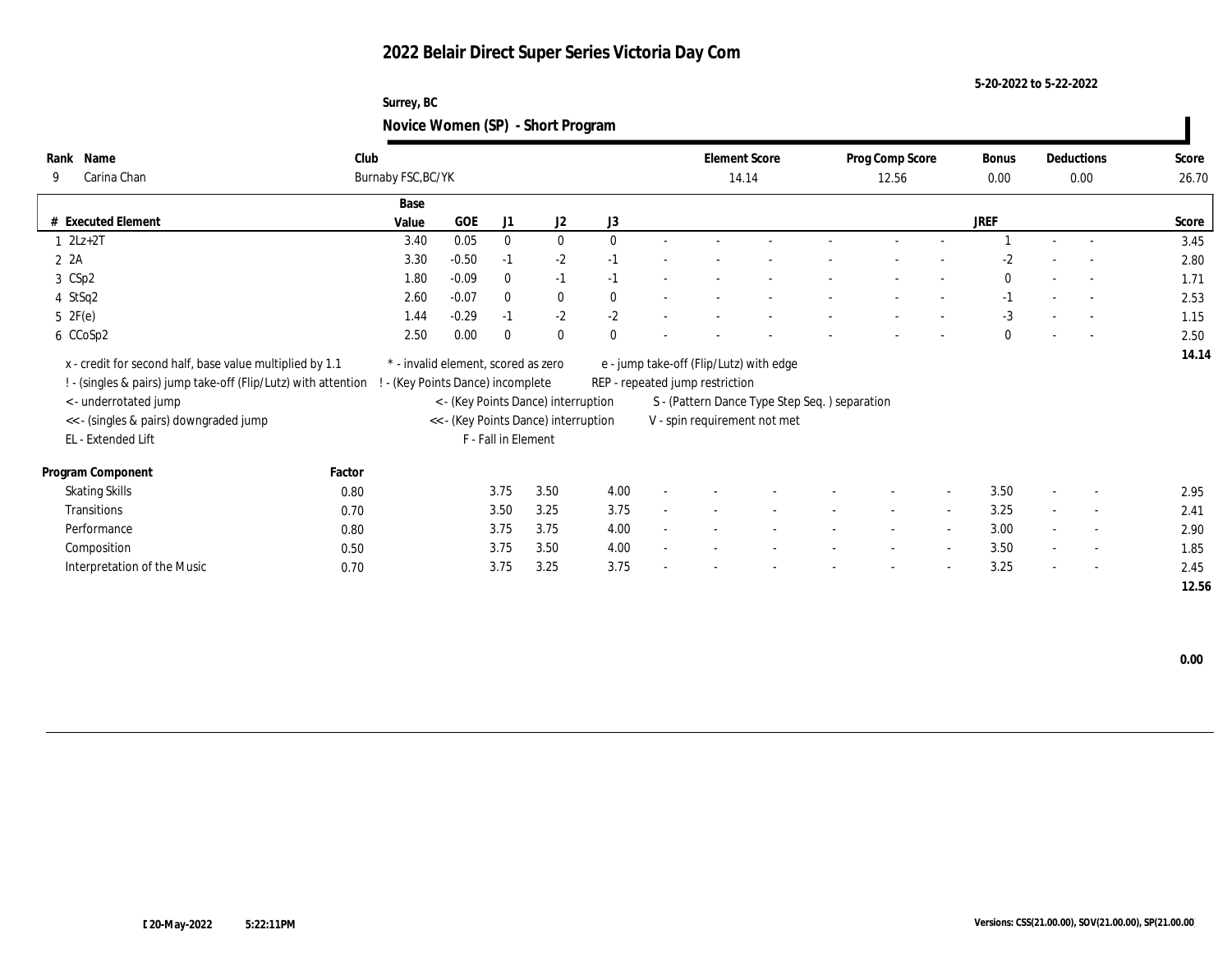### **Surrey, BC Novice Women (SP) - Short Program**

|                                                                |        |                                     |         |                     |                                      | $\tilde{\phantom{a}}$ |                                 |                                               |                 |                          |              |                          |       |
|----------------------------------------------------------------|--------|-------------------------------------|---------|---------------------|--------------------------------------|-----------------------|---------------------------------|-----------------------------------------------|-----------------|--------------------------|--------------|--------------------------|-------|
| Name<br>Rank                                                   | Club   |                                     |         |                     |                                      |                       | <b>Element Score</b>            |                                               | Prog Comp Score |                          | Bonus        | Deductions               | Score |
| Carina Chan<br>9                                               |        | Burnaby FSC, BC/YK                  |         |                     |                                      |                       |                                 | 14.14                                         | 12.56           |                          | $0.00\,$     | 0.00                     | 26.70 |
|                                                                |        | Base                                |         |                     |                                      |                       |                                 |                                               |                 |                          |              |                          |       |
| # Executed Element                                             |        | Value                               | GOE     | J1                  | J2                                   | J3                    |                                 |                                               |                 |                          | JREF         |                          | Score |
| $1 \quad 2Lz+2T$                                               |        | 3.40                                | 0.05    | $\bf{0}$            | $\bf{0}$                             | $\mathbf{0}$          |                                 |                                               |                 |                          |              |                          | 3.45  |
| $2 \t2A$                                                       |        | 3.30                                | $-0.50$ | $-1$                | $-2$                                 | $-1$                  |                                 |                                               |                 |                          | $-2$         |                          | 2.80  |
| 3 CSp2                                                         |        | 1.80                                | $-0.09$ | $\bf{0}$            | $-1$                                 | $-1$                  |                                 |                                               |                 |                          | $\mathbf{0}$ |                          | 1.71  |
| 4 StSq2                                                        |        | 2.60                                | $-0.07$ | $\mathbf{0}$        | $\bf{0}$                             | $\mathbf{0}$          |                                 |                                               |                 |                          | $-1$         | $\overline{a}$           | 2.53  |
| 5 2F(e)                                                        |        | 1.44                                | $-0.29$ | $-1$                | $-2$                                 | $-2$                  |                                 |                                               |                 |                          | $-3$         | $\sim$                   | 1.15  |
| 6 CCoSp2                                                       |        | 2.50                                | 0.00    | $\bf{0}$            | $\mathbf{0}$                         | $\mathbf{0}$          |                                 |                                               |                 |                          | $\Omega$     | $\overline{\phantom{a}}$ | 2.50  |
| x - credit for second half, base value multiplied by 1.1       |        | * - invalid element, scored as zero |         |                     |                                      |                       |                                 | e - jump take-off (Flip/Lutz) with edge       |                 |                          |              |                          | 14.14 |
| ! - (singles & pairs) jump take-off (Flip/Lutz) with attention |        | (Key Points Dance) incomplete       |         |                     |                                      |                       | REP - repeated jump restriction |                                               |                 |                          |              |                          |       |
| < - underrotated jump                                          |        |                                     |         |                     | < - (Key Points Dance) interruption  |                       |                                 | S - (Pattern Dance Type Step Seq.) separation |                 |                          |              |                          |       |
|                                                                |        |                                     |         |                     |                                      |                       |                                 |                                               |                 |                          |              |                          |       |
| << - (singles & pairs) downgraded jump<br>EL - Extended Lift   |        |                                     |         | F - Fall in Element | << - (Key Points Dance) interruption |                       |                                 | V - spin requirement not met                  |                 |                          |              |                          |       |
|                                                                |        |                                     |         |                     |                                      |                       |                                 |                                               |                 |                          |              |                          |       |
| Program Component                                              | Factor |                                     |         |                     |                                      |                       |                                 |                                               |                 |                          |              |                          |       |
| <b>Skating Skills</b>                                          | 0.80   |                                     |         | 3.75                | 3.50                                 | 4.00                  |                                 |                                               |                 |                          | 3.50         | $\overline{\phantom{a}}$ | 2.95  |
| Transitions                                                    | 0.70   |                                     |         | 3.50                | 3.25                                 | 3.75                  |                                 |                                               |                 | $\overline{\phantom{a}}$ | 3.25         | $\overline{\phantom{a}}$ | 2.41  |
| Performance                                                    | 0.80   |                                     |         | 3.75                | 3.75                                 | 4.00                  |                                 |                                               |                 | $\overline{\phantom{a}}$ | 3.00         | $\overline{\phantom{a}}$ | 2.90  |
| Composition                                                    | 0.50   |                                     |         | 3.75                | 3.50                                 | 4.00                  |                                 |                                               |                 | $\sim$                   | 3.50         | $\sim$                   | 1.85  |
| Interpretation of the Music                                    | 0.70   |                                     |         | 3.75                | 3.25                                 | 3.75                  |                                 |                                               |                 |                          | 3.25         | $\overline{\phantom{a}}$ | 2.45  |
|                                                                |        |                                     |         |                     |                                      |                       |                                 |                                               |                 |                          |              |                          | 12.56 |

 $\mathbf{I}$ 

**5-20-2022 to 5-22-2022**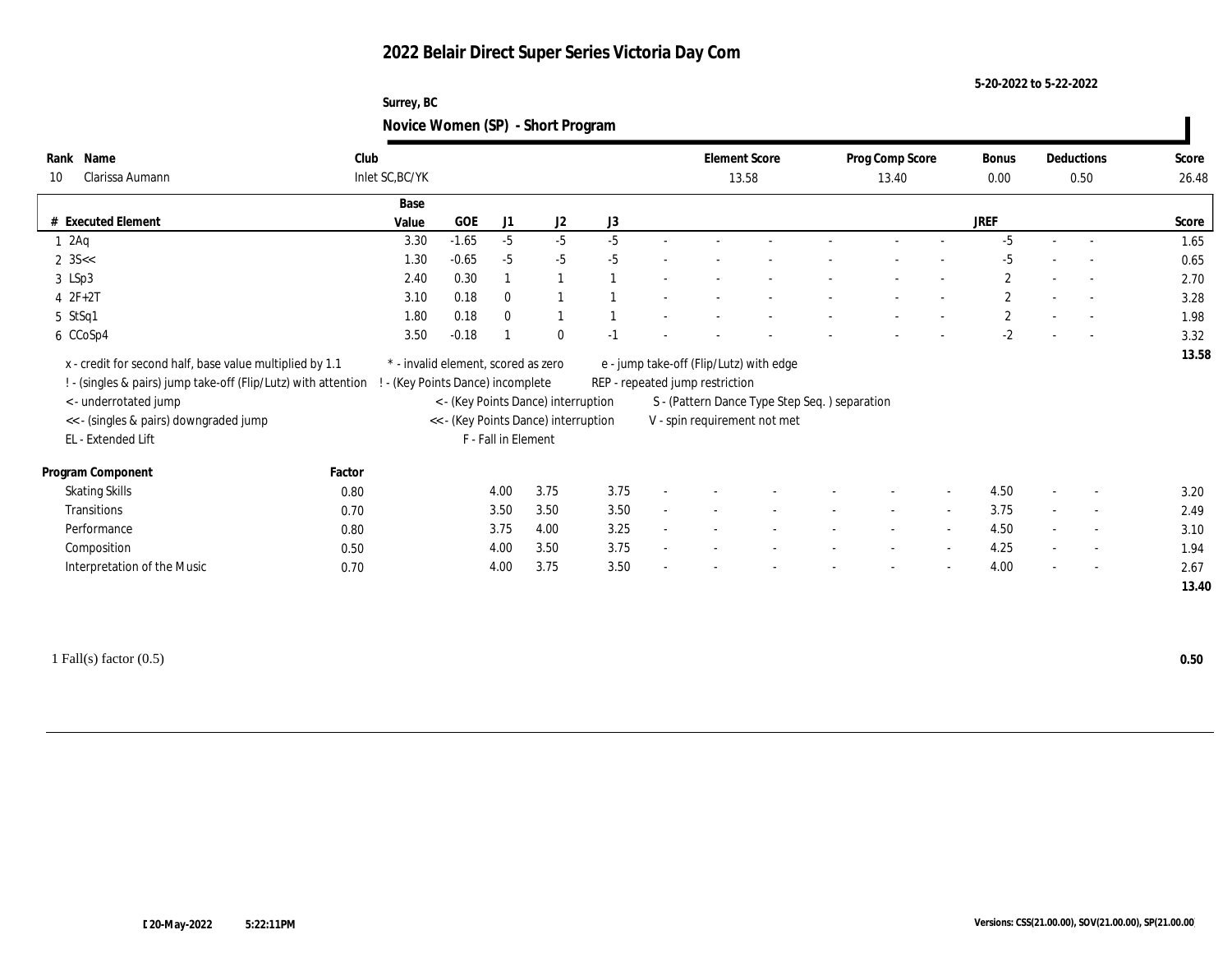### **5-20-2022 to 5-22-2022**

### **Surrey, BC Novice Women (SP) - Short Program**

| Name<br>Rank<br>Clarissa Aumann<br>10                                                                                                                   | Club<br>Inlet SC, BC/YK |                                                                                                                                       |              |              |      |        | <b>Element Score</b>            | 13.58                                                                         | Prog Comp Score<br>13.40 |        | <b>Bonus</b><br>0.00 |        | Deductions<br>0.50       | Score<br>26.48 |
|---------------------------------------------------------------------------------------------------------------------------------------------------------|-------------------------|---------------------------------------------------------------------------------------------------------------------------------------|--------------|--------------|------|--------|---------------------------------|-------------------------------------------------------------------------------|--------------------------|--------|----------------------|--------|--------------------------|----------------|
|                                                                                                                                                         | Base                    |                                                                                                                                       |              |              |      |        |                                 |                                                                               |                          |        |                      |        |                          |                |
| # Executed Element                                                                                                                                      | Value                   | GOE                                                                                                                                   | J1           | J2           | J3   |        |                                 |                                                                               |                          |        | <b>JREF</b>          |        |                          | Score          |
| 12Aq                                                                                                                                                    | 3.30                    | $-1.65$                                                                                                                               | $-5$         | $-5$         | $-5$ |        |                                 |                                                                               |                          |        | $-5$                 |        | $\overline{\phantom{a}}$ | 1.65           |
| $2 \, 35 <$                                                                                                                                             | 1.30                    | $-0.65$                                                                                                                               | $-5$         | $-5$         | $-5$ |        |                                 |                                                                               |                          |        | -5                   |        | $\overline{\phantom{a}}$ | 0.65           |
| 3 LSp3                                                                                                                                                  | 2.40                    | 0.30                                                                                                                                  | $\mathbf{1}$ |              |      |        |                                 |                                                                               |                          |        | $\mathbf{2}$         |        | $\overline{\phantom{a}}$ | 2.70           |
| $4 2F + 2T$                                                                                                                                             | 3.10                    | 0.18                                                                                                                                  | $\mathbf{0}$ |              |      |        |                                 |                                                                               |                          |        | $\overline{2}$       |        | $\overline{\phantom{a}}$ | 3.28           |
| 5 StSq1                                                                                                                                                 | 1.80                    | 0.18                                                                                                                                  | $\mathbf{0}$ |              |      |        |                                 |                                                                               |                          |        | $\mathbf{2}$         |        | $\overline{\phantom{a}}$ | 1.98           |
| 6 CCoSp4                                                                                                                                                | 3.50                    | $-0.18$                                                                                                                               |              | $\mathbf{0}$ | $-1$ |        |                                 |                                                                               |                          |        | $-2$                 |        | $\overline{\phantom{a}}$ | 3.32           |
| x - credit for second half, base value multiplied by 1.1                                                                                                |                         | * - invalid element, scored as zero                                                                                                   |              |              |      |        |                                 | e - jump take-off (Flip/Lutz) with edge                                       |                          |        |                      |        |                          |                |
| ! - (singles & pairs) jump take-off (Flip/Lutz) with attention<br>< - underrotated jump<br><< - (singles & pairs) downgraded jump<br>EL - Extended Lift |                         | - (Key Points Dance) incomplete<br>< - (Key Points Dance) interruption<br><< - (Key Points Dance) interruption<br>F - Fall in Element |              |              |      |        | REP - repeated jump restriction | S - (Pattern Dance Type Step Seq.) separation<br>V - spin requirement not met |                          |        |                      |        |                          |                |
| Program Component                                                                                                                                       | Factor                  |                                                                                                                                       |              |              |      |        |                                 |                                                                               |                          |        |                      |        |                          |                |
| <b>Skating Skills</b>                                                                                                                                   | 0.80                    |                                                                                                                                       | 4.00         | 3.75         | 3.75 |        |                                 |                                                                               |                          | $\sim$ | 4.50                 |        | $\overline{\phantom{a}}$ | 3.20           |
| Transitions                                                                                                                                             | 0.70                    |                                                                                                                                       | 3.50         | 3.50         | 3.50 | $\sim$ |                                 |                                                                               | $\sim$                   | $\sim$ | 3.75                 |        | $\overline{\phantom{a}}$ | 2.49           |
| Performance                                                                                                                                             | 0.80                    |                                                                                                                                       | 3.75         | 4.00         | 3.25 | $\sim$ |                                 |                                                                               | $\sim$                   | $\sim$ | 4.50                 | $\sim$ | $\overline{\phantom{a}}$ | 3.10           |
| Composition                                                                                                                                             | 0.50                    |                                                                                                                                       | 4.00         | 3.50         | 3.75 | $\sim$ |                                 |                                                                               | $\overline{\phantom{a}}$ | $\sim$ | 4.25                 | $\sim$ | $\sim$                   | 1.94           |

1 Fall(s) factor (0.5) **0.50**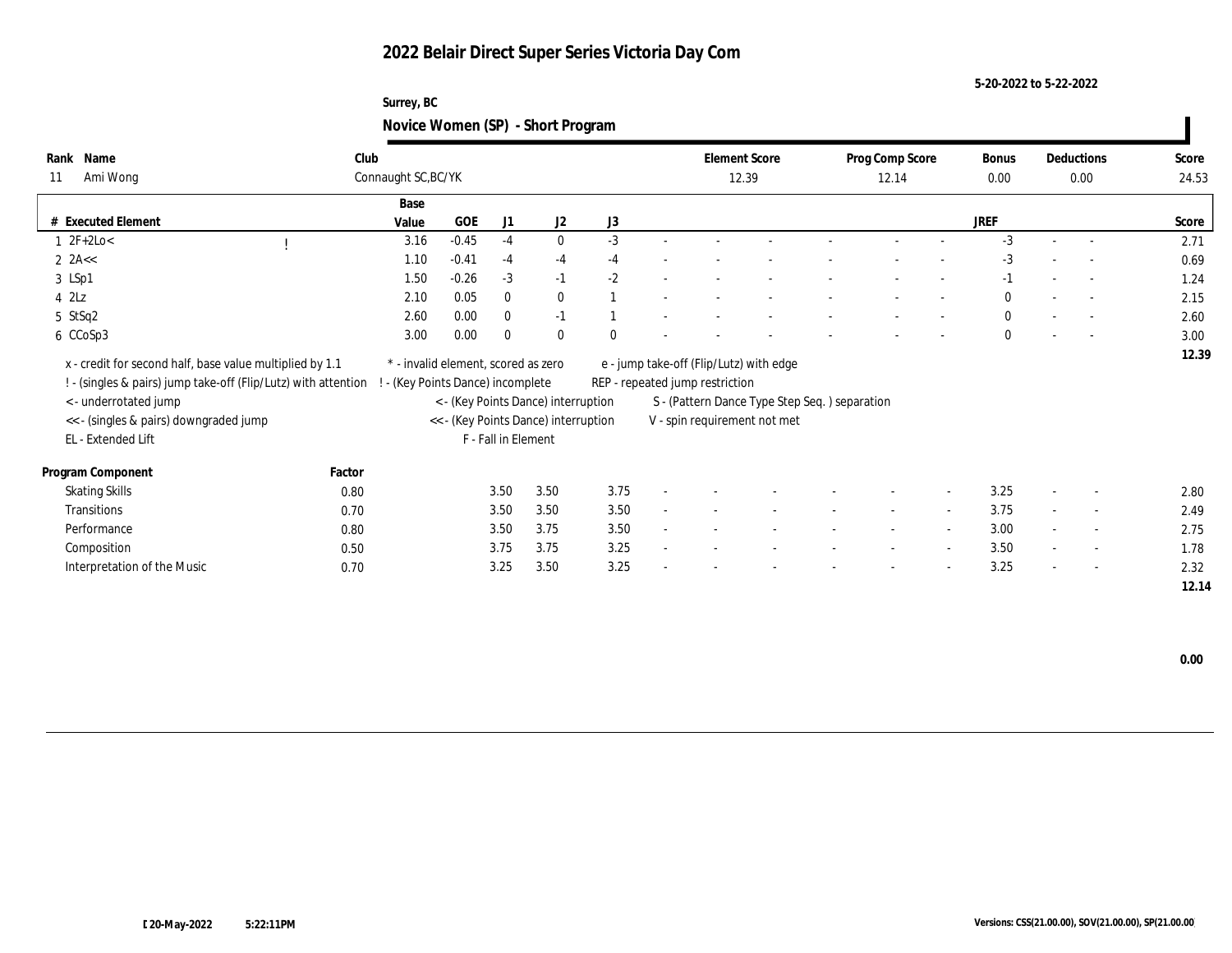**Novice Women (SP) - Short Program**

**Surrey, BC**

| Name<br>Rank<br>Ami Wong<br>11                                                                                             | Club<br>Connaught SC, BC/YK |                                                                          |                     |                                      |          |                                 | <b>Element Score</b><br>12.39                 | Prog Comp Score<br>12.14 |                          | Bonus<br>0.00 |                          | Deductions<br>0.00       | Score<br>24.53 |
|----------------------------------------------------------------------------------------------------------------------------|-----------------------------|--------------------------------------------------------------------------|---------------------|--------------------------------------|----------|---------------------------------|-----------------------------------------------|--------------------------|--------------------------|---------------|--------------------------|--------------------------|----------------|
|                                                                                                                            |                             | Base                                                                     |                     |                                      |          |                                 |                                               |                          |                          |               |                          |                          |                |
| <b>Executed Element</b>                                                                                                    | Value                       | <b>GOE</b>                                                               | J1                  | J <sub>2</sub>                       | J3       |                                 |                                               |                          |                          | <b>JREF</b>   |                          |                          | Score          |
| $1 \, 2F + 2Lo <$                                                                                                          |                             | $-0.45$<br>3.16                                                          | $-4$                | $\mathbf{0}$                         | $-3$     |                                 |                                               |                          |                          | $-3$          |                          |                          | 2.71           |
| 2 $2A <$                                                                                                                   |                             | 1.10<br>$-0.41$                                                          | $-4$                | $-4$                                 | $-4$     |                                 |                                               |                          |                          | $-3$          |                          |                          | 0.69           |
| 3 LSp1                                                                                                                     |                             | $-0.26$<br>1.50                                                          | $-3$                | $-1$                                 | $-2$     |                                 |                                               |                          |                          | $-1$          |                          |                          | 1.24           |
| $4$ $2\text{L}z$                                                                                                           |                             | 0.05<br>2.10                                                             | $\mathbf{0}$        | $\mathbf{0}$                         |          |                                 |                                               |                          |                          | $\mathbf{0}$  |                          | $\sim$                   | 2.15           |
| 5 StSq2                                                                                                                    |                             | 0.00<br>2.60                                                             | $\mathbf{0}$        | $-1$                                 |          |                                 |                                               |                          |                          | $\mathbf{0}$  |                          | $\sim$                   | 2.60           |
| 6 CCoSp3                                                                                                                   |                             | 0.00<br>3.00                                                             | $\theta$            | $\theta$                             | $\theta$ |                                 |                                               | $\overline{\phantom{0}}$ | $\overline{\phantom{a}}$ | $\mathbf{0}$  | $\overline{\phantom{a}}$ | $\overline{\phantom{a}}$ | 3.00           |
| x - credit for second half, base value multiplied by 1.1<br>! - (singles & pairs) jump take-off (Flip/Lutz) with attention |                             | * - invalid element, scored as zero<br>! - (Key Points Dance) incomplete |                     |                                      |          | REP - repeated jump restriction | e - jump take-off (Flip/Lutz) with edge       |                          |                          |               |                          |                          | 12.39          |
| < - underrotated jump                                                                                                      |                             |                                                                          |                     | < - (Key Points Dance) interruption  |          |                                 | S - (Pattern Dance Type Step Seq.) separation |                          |                          |               |                          |                          |                |
| << - (singles & pairs) downgraded jump                                                                                     |                             |                                                                          |                     | << - (Key Points Dance) interruption |          |                                 | V - spin requirement not met                  |                          |                          |               |                          |                          |                |
| EL - Extended Lift                                                                                                         |                             |                                                                          | F - Fall in Element |                                      |          |                                 |                                               |                          |                          |               |                          |                          |                |
| Program Component                                                                                                          | Factor                      |                                                                          |                     |                                      |          |                                 |                                               |                          |                          |               |                          |                          |                |
| <b>Skating Skills</b>                                                                                                      | 0.80                        |                                                                          | 3.50                | 3.50                                 | 3.75     |                                 |                                               |                          | $\sim$                   | 3.25          |                          | $\sim$                   | 2.80           |
| <b>Transitions</b>                                                                                                         | 0.70                        |                                                                          | 3.50                | 3.50                                 | 3.50     |                                 |                                               |                          | $\overline{a}$           | 3.75          |                          | $\overline{\phantom{a}}$ | 2.49           |
| Performance                                                                                                                | 0.80                        |                                                                          | 3.50                | 3.75                                 | 3.50     |                                 |                                               | $\sim$                   | $\sim$                   | 3.00          | $\sim$                   | $\sim$                   | 2.75           |
| Composition                                                                                                                | 0.50                        |                                                                          | 3.75                | 3.75                                 | 3.25     |                                 |                                               |                          | $\sim$                   | 3.50          | $\sim$                   | $\overline{\phantom{a}}$ | 1.78           |
| Interpretation of the Music                                                                                                | 0.70                        |                                                                          | 3.25                | 3.50                                 | 3.25     |                                 |                                               | $\blacksquare$           | $\sim$                   | 3.25          | $\sim$                   | $\sim$                   | 2.32           |
|                                                                                                                            |                             |                                                                          |                     |                                      |          |                                 |                                               |                          |                          |               |                          |                          | 12.14          |

 **0.00**

**5-20-2022 to 5-22-2022**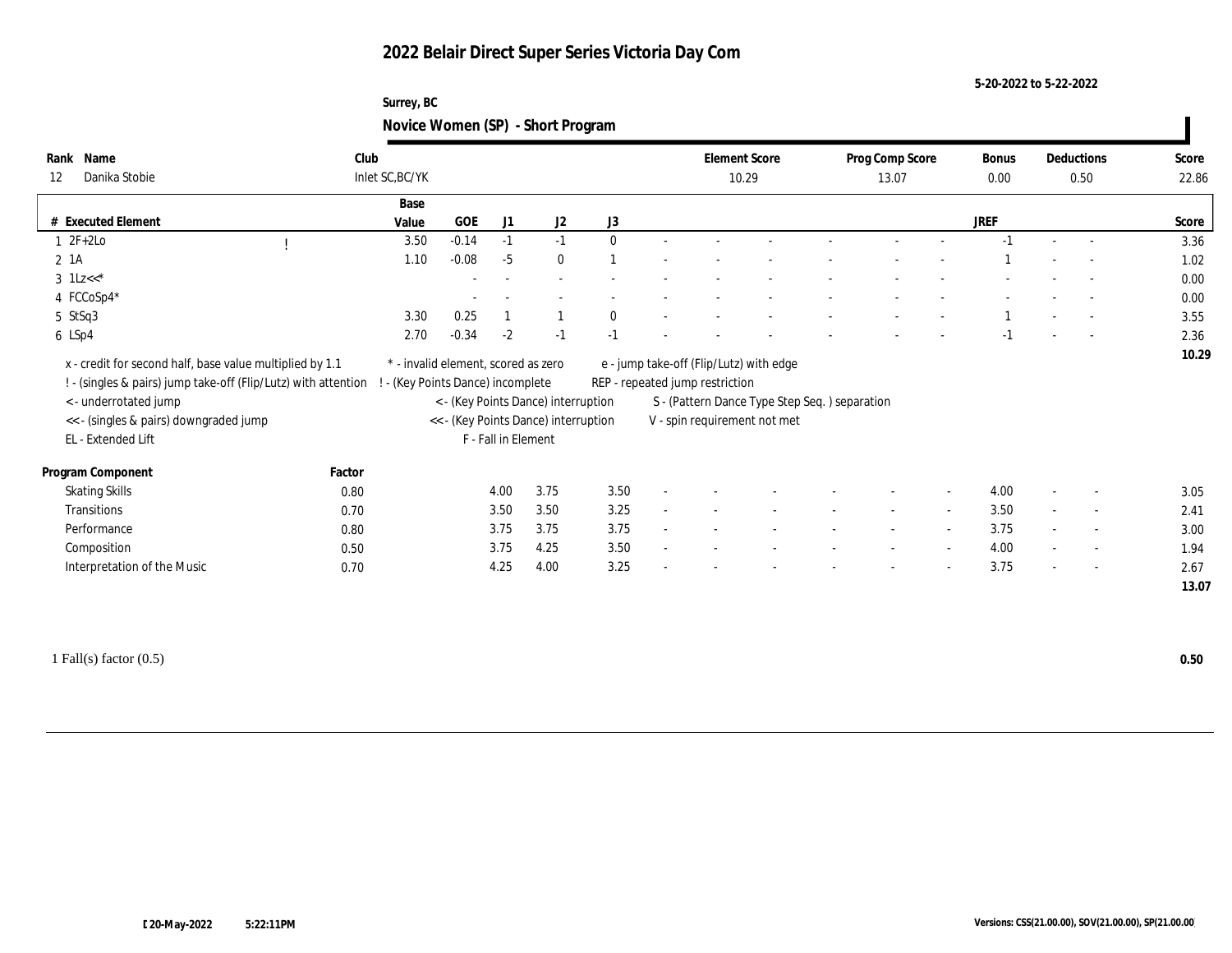### **5-20-2022 to 5-22-2022**

### **Surrey, BC Novice Women (SP) - Short Program**

| Name<br>Rank<br>Danika Stobie<br>12                                                                                                                      | Club   | Inlet SC, BC/YK                     |         |                     |                                                                             |              |        | <b>Element Score</b><br>10.29   |                                                                               | Prog Comp Score<br>13.07 |                          | <b>Bonus</b><br>0.00 |        | Deductions<br>0.50       | Score<br>22.86 |
|----------------------------------------------------------------------------------------------------------------------------------------------------------|--------|-------------------------------------|---------|---------------------|-----------------------------------------------------------------------------|--------------|--------|---------------------------------|-------------------------------------------------------------------------------|--------------------------|--------------------------|----------------------|--------|--------------------------|----------------|
|                                                                                                                                                          |        |                                     |         |                     |                                                                             |              |        |                                 |                                                                               |                          |                          |                      |        |                          |                |
|                                                                                                                                                          |        | Base                                |         |                     |                                                                             |              |        |                                 |                                                                               |                          |                          |                      |        |                          |                |
| # Executed Element                                                                                                                                       |        | Value                               | GOE     | J1                  | J2                                                                          | J3           |        |                                 |                                                                               |                          |                          | <b>JREF</b>          |        |                          | Score          |
| $1 \t2F+2Lo$                                                                                                                                             |        | 3.50                                | $-0.14$ | $-1$                | $-1$                                                                        | $\Omega$     |        |                                 |                                                                               |                          |                          |                      |        | $\overline{\phantom{a}}$ | 3.36           |
| $2 \; 1A$                                                                                                                                                |        | 1.10                                | $-0.08$ | $-5$                | $\bf{0}$                                                                    |              |        |                                 |                                                                               |                          |                          |                      |        |                          | 1.02           |
| 3 $1Lz<<$ *                                                                                                                                              |        |                                     |         |                     |                                                                             |              |        |                                 |                                                                               |                          |                          |                      |        |                          | 0.00           |
| 4 FCCoSp4*                                                                                                                                               |        |                                     |         |                     |                                                                             |              |        |                                 |                                                                               |                          |                          |                      |        |                          | 0.00           |
| 5 StSq3                                                                                                                                                  |        | 3.30                                | 0.25    |                     |                                                                             | $\mathbf{0}$ |        |                                 |                                                                               |                          |                          |                      |        | $\overline{\phantom{a}}$ | 3.55           |
| 6 LSp4                                                                                                                                                   |        | 2.70                                | $-0.34$ | $-2$                | $-1$                                                                        | $-1$         |        |                                 |                                                                               |                          |                          |                      |        | $\overline{\phantom{a}}$ | 2.36           |
| x - credit for second half, base value multiplied by 1.1                                                                                                 |        | * - invalid element, scored as zero |         |                     |                                                                             |              |        |                                 | e - jump take-off (Flip/Lutz) with edge                                       |                          |                          |                      |        |                          |                |
| ! - (singles & pairs) jump take-off (Flip/Lutz) with attention !<br><- underrotated jump<br><< - (singles & pairs) downgraded jump<br>EL - Extended Lift |        | - (Key Points Dance) incomplete     |         | F - Fall in Element | < - (Key Points Dance) interruption<br><< - (Key Points Dance) interruption |              |        | REP - repeated jump restriction | S - (Pattern Dance Type Step Seq.) separation<br>V - spin requirement not met |                          |                          |                      |        |                          | 10.29          |
| Program Component                                                                                                                                        | Factor |                                     |         |                     |                                                                             |              |        |                                 |                                                                               |                          |                          |                      |        |                          |                |
| <b>Skating Skills</b>                                                                                                                                    | 0.80   |                                     |         | 4.00                | 3.75                                                                        | 3.50         |        |                                 |                                                                               |                          | $\overline{\phantom{a}}$ | 4.00                 |        | $\overline{\phantom{a}}$ | 3.05           |
| Transitions                                                                                                                                              | 0.70   |                                     |         | 3.50                | 3.50                                                                        | 3.25         | $\sim$ |                                 |                                                                               |                          | $\sim$                   | 3.50                 |        | $\sim$                   | 2.41           |
| Performance                                                                                                                                              | 0.80   |                                     |         | 3.75                | 3.75                                                                        | 3.75         | $\sim$ |                                 |                                                                               | $\sim$                   | $\sim$                   | 3.75                 | $\sim$ | $\overline{\phantom{a}}$ | 3.00           |
|                                                                                                                                                          | 0.50   |                                     |         | 3.75                | 4.25                                                                        | 3.50         |        |                                 |                                                                               |                          | $\overline{\phantom{a}}$ | 4.00                 |        | $\overline{\phantom{a}}$ | 1.94           |
| Composition<br>Interpretation of the Music                                                                                                               | 0.70   |                                     |         | 4.25                | 4.00                                                                        | 3.25         | $\sim$ |                                 |                                                                               |                          | $\sim$                   | 3.75                 | $\sim$ | $\overline{\phantom{a}}$ | 2.67           |

1 Fall(s) factor (0.5) **0.50**

 $\overline{\phantom{a}}$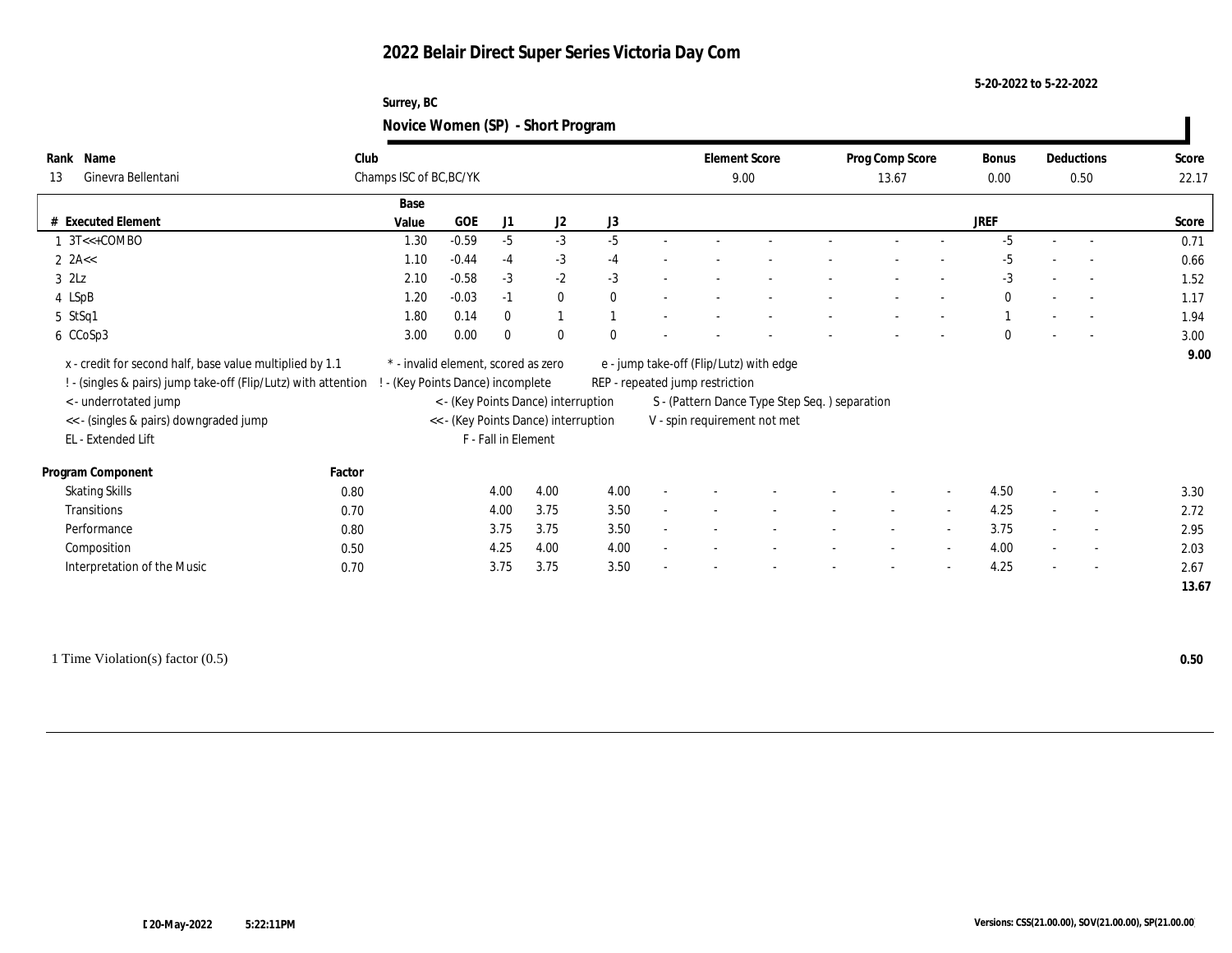#### **5-20-2022 to 5-22-2022**

### **Surrey, BC Novice Women (SP) - Short Program**

| Name<br>Rank<br>Ginevra Bellentani<br>13                                                                                           | Club   | Champs ISC of BC, BC/YK                                                 |                     |                                     |          |                          | <b>Element Score</b><br>9.00    |                                                                               | Prog Comp Score<br>13.67 |                          | Bonus<br>0.00 |        | Deductions<br>0.50       | Score<br>22.17 |
|------------------------------------------------------------------------------------------------------------------------------------|--------|-------------------------------------------------------------------------|---------------------|-------------------------------------|----------|--------------------------|---------------------------------|-------------------------------------------------------------------------------|--------------------------|--------------------------|---------------|--------|--------------------------|----------------|
|                                                                                                                                    | Base   |                                                                         |                     |                                     |          |                          |                                 |                                                                               |                          |                          |               |        |                          |                |
| <b>Executed Element</b>                                                                                                            | Value  | GOE                                                                     | J1                  | J <sub>2</sub>                      | J3       |                          |                                 |                                                                               |                          |                          | <b>JREF</b>   |        |                          | Score          |
| $1 \text{ } 3T \leftarrow \text{+COMBO}$                                                                                           |        | $-0.59$<br>1.30                                                         | $-5$                | $-3$                                | $-5$     |                          |                                 |                                                                               |                          |                          | $-5$          | $\sim$ | $\overline{\phantom{a}}$ | 0.71           |
| $2$ 2A $<$                                                                                                                         |        | 1.10<br>$-0.44$                                                         | $-4$                | $-3$                                | $-4$     |                          |                                 |                                                                               |                          |                          | $-5$          |        | $\overline{\phantom{a}}$ | 0.66           |
| $3$ $2Lz$                                                                                                                          |        | $-0.58$<br>2.10                                                         | $-3$                | $-2$                                | $-3$     |                          |                                 |                                                                               |                          |                          | $-3$          |        | $\overline{\phantom{a}}$ | 1.52           |
| 4 LSpB                                                                                                                             |        | 1.20<br>$-0.03$                                                         | $-1$                | $\bf{0}$                            | $\theta$ | $\overline{\phantom{a}}$ |                                 |                                                                               |                          |                          | $\bf{0}$      |        | $\overline{\phantom{a}}$ | 1.17           |
| 5 StSq1                                                                                                                            |        | 0.14<br>1.80                                                            | $\mathbf{0}$        | $\mathbf{1}$                        |          |                          |                                 |                                                                               |                          |                          |               |        | $\overline{\phantom{a}}$ | 1.94           |
| 6 CCoSp3                                                                                                                           |        | 3.00<br>0.00                                                            | $\mathbf{0}$        | $\mathbf{0}$                        | $\Omega$ |                          |                                 |                                                                               |                          |                          | $\mathbf{0}$  |        | $\overline{\phantom{a}}$ | 3.00           |
|                                                                                                                                    |        |                                                                         |                     |                                     |          |                          |                                 |                                                                               |                          |                          |               |        |                          |                |
| ! - (singles & pairs) jump take-off (Flip/Lutz) with attention !<br><- underrotated jump<br><< - (singles & pairs) downgraded jump |        | - (Key Points Dance) incomplete<br><< - (Key Points Dance) interruption |                     | < - (Key Points Dance) interruption |          |                          | REP - repeated jump restriction | S - (Pattern Dance Type Step Seq.) separation<br>V - spin requirement not met |                          |                          |               |        |                          |                |
| EL - Extended Lift                                                                                                                 | Factor |                                                                         | F - Fall in Element |                                     |          |                          |                                 |                                                                               |                          |                          |               |        |                          |                |
| Program Component                                                                                                                  | 0.80   |                                                                         | 4.00                | 4.00                                | 4.00     |                          |                                 |                                                                               |                          |                          | 4.50          |        | $\overline{\phantom{a}}$ | 3.30           |
| <b>Skating Skills</b><br>Transitions                                                                                               | 0.70   |                                                                         | 4.00                | 3.75                                | 3.50     |                          |                                 |                                                                               |                          |                          | 4.25          |        | $\overline{\phantom{a}}$ | 2.72           |
| Performance                                                                                                                        | 0.80   |                                                                         | 3.75                | 3.75                                | 3.50     |                          |                                 |                                                                               |                          | $\sim$                   | 3.75          | $\sim$ | $\overline{\phantom{a}}$ | 2.95           |
| Composition                                                                                                                        | 0.50   |                                                                         | 4.25                | 4.00                                | 4.00     |                          |                                 |                                                                               |                          | $\overline{\phantom{a}}$ | 4.00          |        | $\overline{\phantom{a}}$ | 2.03           |
| Interpretation of the Music                                                                                                        | 0.70   |                                                                         | 3.75                | 3.75                                | 3.50     |                          |                                 |                                                                               |                          |                          | 4.25          |        | $\overline{\phantom{a}}$ | 2.67           |

1 Time Violation(s) factor (0.5) **0.50**